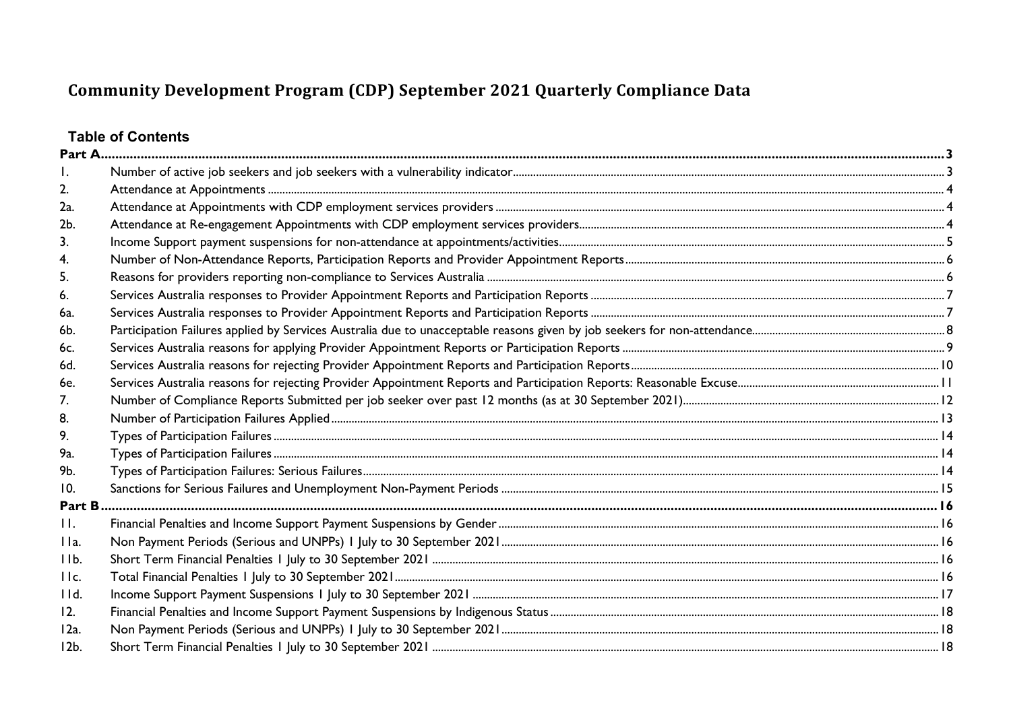# **Table of Contents**

| 2.      |  |
|---------|--|
| 2a.     |  |
| 2b.     |  |
| 3.      |  |
| 4.      |  |
| 5.      |  |
| 6.      |  |
| 6a.     |  |
| 6b.     |  |
| 6c.     |  |
| 6d.     |  |
| 6e.     |  |
| 7.      |  |
| 8.      |  |
| 9.      |  |
| 9а.     |  |
| 9b.     |  |
| 10.     |  |
| Part B  |  |
| H.      |  |
| IIa.    |  |
| IIb.    |  |
| IIc.    |  |
| 11d.    |  |
| 12.     |  |
| 12a.    |  |
| $12b$ . |  |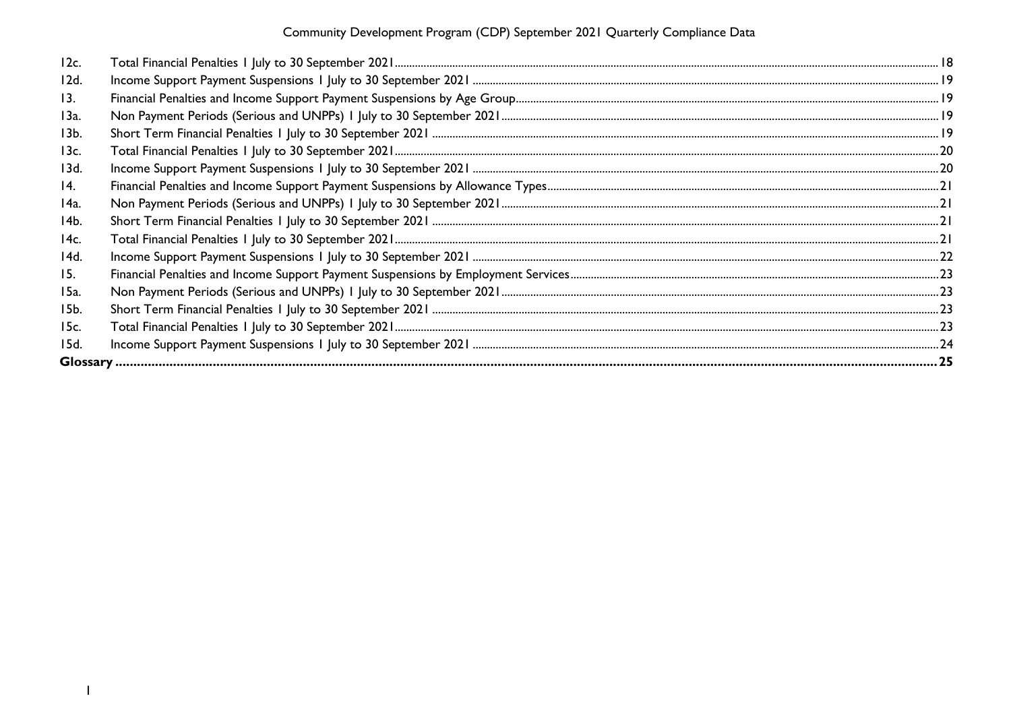| 12c.       |  |
|------------|--|
| 12d.       |  |
| 13.        |  |
| 13a.       |  |
| 13b.       |  |
| 13c.       |  |
| 13d.       |  |
| 14.        |  |
| 14a.       |  |
| 14b.       |  |
| 14c.       |  |
| 14d.       |  |
| <b>15.</b> |  |
| 15a.       |  |
| 15b.       |  |
| 15c.       |  |
| 15d.       |  |
|            |  |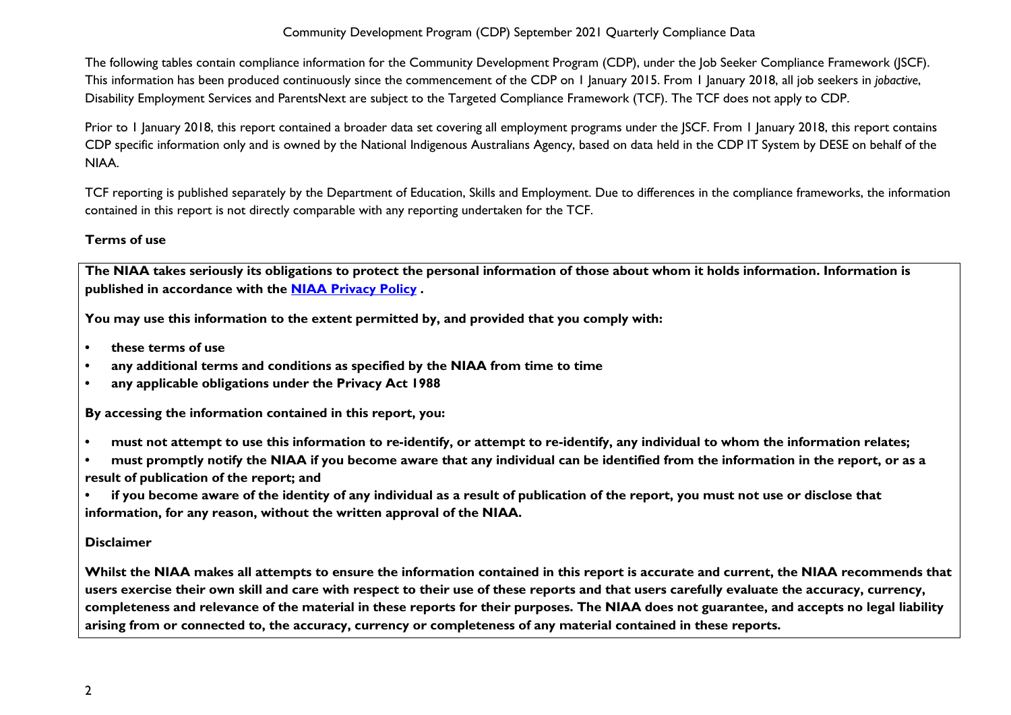The following tables contain compliance information for the Community Development Program (CDP), under the Job Seeker Compliance Framework (JSCF). This information has been produced continuously since the commencement of the CDP on 1 January 2015. From 1 January 2018, all job seekers in *jobactive*, Disability Employment Services and ParentsNext are subject to the Targeted Compliance Framework (TCF). The TCF does not apply to CDP.

Prior to 1 January 2018, this report contained a broader data set covering all employment programs under the JSCF. From 1 January 2018, this report contains CDP specific information only and is owned by the National Indigenous Australians Agency, based on data held in the CDP IT System by DESE on behalf of the NIAA.

TCF reporting is published separately by the Department of Education, Skills and Employment. Due to differences in the compliance frameworks, the information contained in this report is not directly comparable with any reporting undertaken for the TCF.

#### **Terms of use**

**The NIAA takes seriously its obligations to protect the personal information of those about whom it holds information. Information is published in accordance with the [NIAA Privacy Policy](https://www.niaa.gov.au/pmc/who-we-are/accountability-and-reporting/privacy-policy) .** 

**You may use this information to the extent permitted by, and provided that you comply with:**

- **• these terms of use**
- **• any additional terms and conditions as specified by the NIAA from time to time**
- **• any applicable obligations under the Privacy Act 1988**

**By accessing the information contained in this report, you:** 

- **• must not attempt to use this information to re-identify, or attempt to re-identify, any individual to whom the information relates;**
- **• must promptly notify the NIAA if you become aware that any individual can be identified from the information in the report, or as a result of publication of the report; and**

**• if you become aware of the identity of any individual as a result of publication of the report, you must not use or disclose that information, for any reason, without the written approval of the NIAA.** 

#### **Disclaimer**

**Whilst the NIAA makes all attempts to ensure the information contained in this report is accurate and current, the NIAA recommends that users exercise their own skill and care with respect to their use of these reports and that users carefully evaluate the accuracy, currency, completeness and relevance of the material in these reports for their purposes. The NIAA does not guarantee, and accepts no legal liability arising from or connected to, the accuracy, currency or completeness of any material contained in these reports.**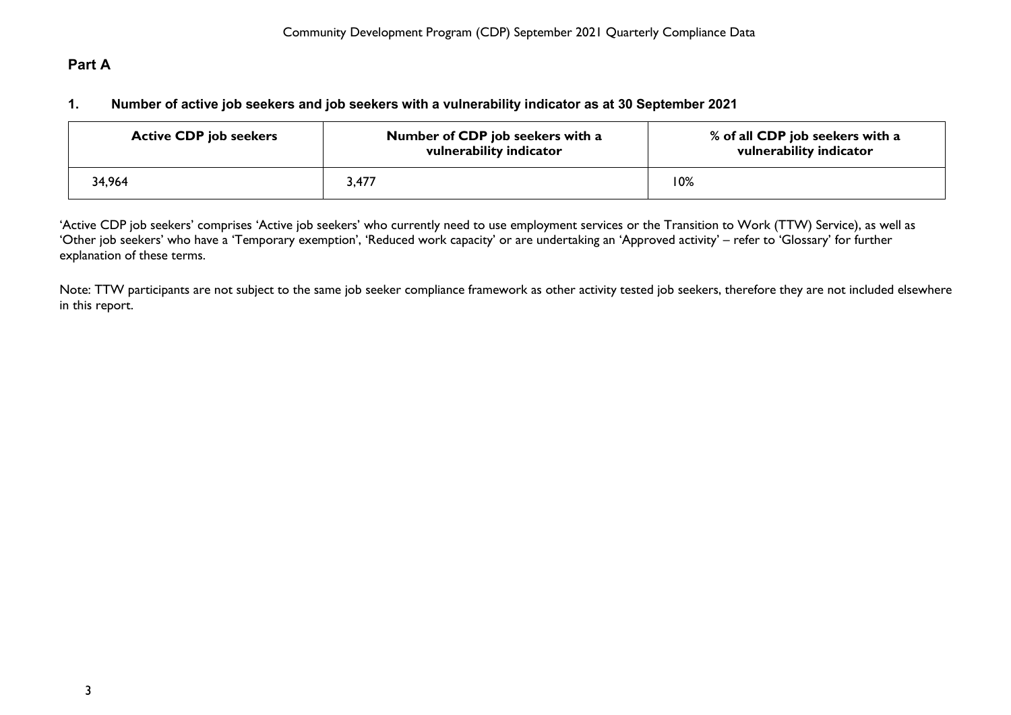# <span id="page-3-1"></span><span id="page-3-0"></span>**Part A**

#### **1. Number of active job seekers and job seekers with a vulnerability indicator as at 30 September 2021**

| <b>Active CDP job seekers</b> | Number of CDP job seekers with a<br>vulnerability indicator | % of all CDP job seekers with a<br>vulnerability indicator |
|-------------------------------|-------------------------------------------------------------|------------------------------------------------------------|
| 34,964                        | 3,477                                                       | 10%                                                        |

'Active CDP job seekers' comprises 'Active job seekers' who currently need to use employment services or the Transition to Work (TTW) Service), as well as 'Other job seekers' who have a 'Temporary exemption', 'Reduced work capacity' or are undertaking an 'Approved activity' – refer to 'Glossary' for further explanation of these terms.

Note: TTW participants are not subject to the same job seeker compliance framework as other activity tested job seekers, therefore they are not included elsewhere in this report.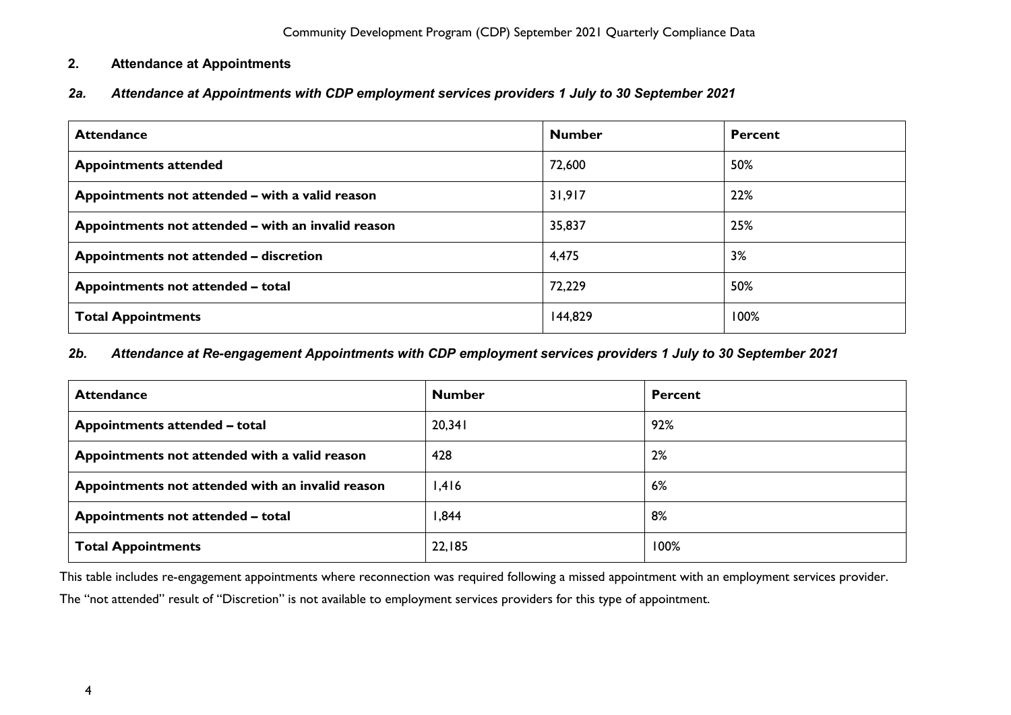## <span id="page-4-0"></span>**2. Attendance at Appointments**

<span id="page-4-1"></span>*2a. Attendance at Appointments with CDP employment services providers 1 July to 30 September 2021*

| <b>Attendance</b>                                  | <b>Number</b> | <b>Percent</b> |
|----------------------------------------------------|---------------|----------------|
| <b>Appointments attended</b>                       | 72,600        | 50%            |
| Appointments not attended - with a valid reason    | 31,917        | 22%            |
| Appointments not attended - with an invalid reason | 35,837        | 25%            |
| Appointments not attended - discretion             | 4,475         | 3%             |
| Appointments not attended - total                  | 72,229        | 50%            |
| <b>Total Appointments</b>                          | 144,829       | 100%           |

#### <span id="page-4-2"></span>*2b. Attendance at Re-engagement Appointments with CDP employment services providers 1 July to 30 September 2021*

| <b>Attendance</b>                                | <b>Number</b> | <b>Percent</b> |
|--------------------------------------------------|---------------|----------------|
| Appointments attended - total                    | 20,341        | 92%            |
| Appointments not attended with a valid reason    | 428           | 2%             |
| Appointments not attended with an invalid reason | 1,416         | 6%             |
| Appointments not attended - total                | 844, ا        | 8%             |
| <b>Total Appointments</b>                        | 22,185        | 100%           |

This table includes re-engagement appointments where reconnection was required following a missed appointment with an employment services provider.

The "not attended" result of "Discretion" is not available to employment services providers for this type of appointment.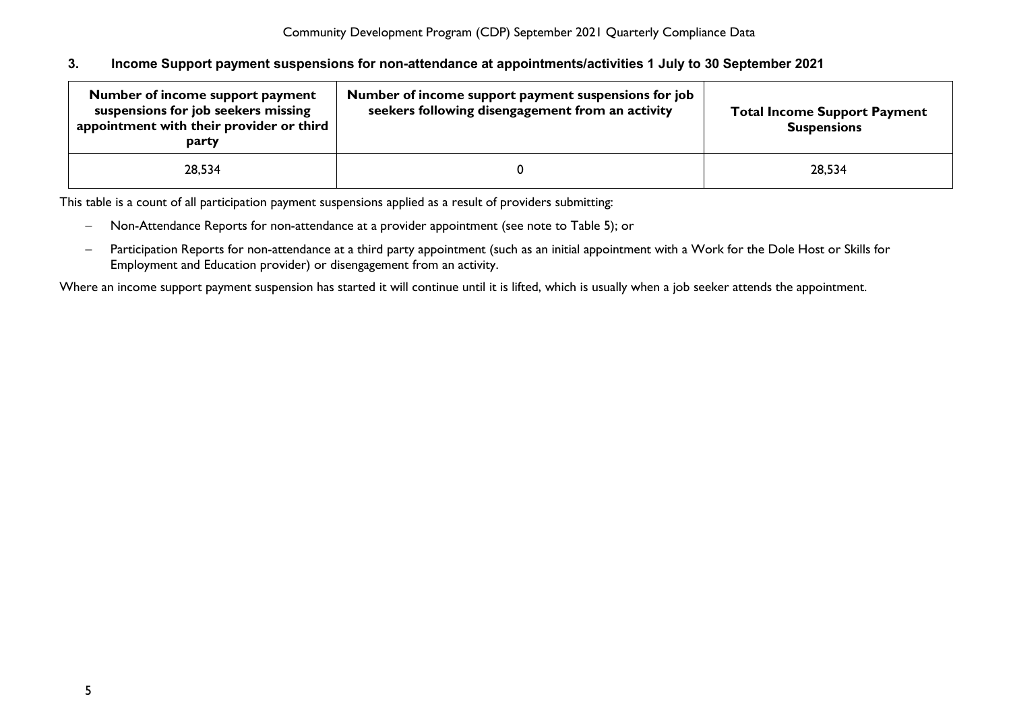#### <span id="page-5-0"></span>**3. Income Support payment suspensions for non-attendance at appointments/activities 1 July to 30 September 2021**

| Number of income support payment<br>suspensions for job seekers missing<br>appointment with their provider or third<br>party | Number of income support payment suspensions for job<br>seekers following disengagement from an activity | <b>Total Income Support Payment</b><br><b>Suspensions</b> |
|------------------------------------------------------------------------------------------------------------------------------|----------------------------------------------------------------------------------------------------------|-----------------------------------------------------------|
| 28,534                                                                                                                       |                                                                                                          | 28,534                                                    |

This table is a count of all participation payment suspensions applied as a result of providers submitting:

- − Non-Attendance Reports for non-attendance at a provider appointment (see note to Table 5); or
- − Participation Reports for non-attendance at a third party appointment (such as an initial appointment with a Work for the Dole Host or Skills for Employment and Education provider) or disengagement from an activity.

Where an income support payment suspension has started it will continue until it is lifted, which is usually when a job seeker attends the appointment.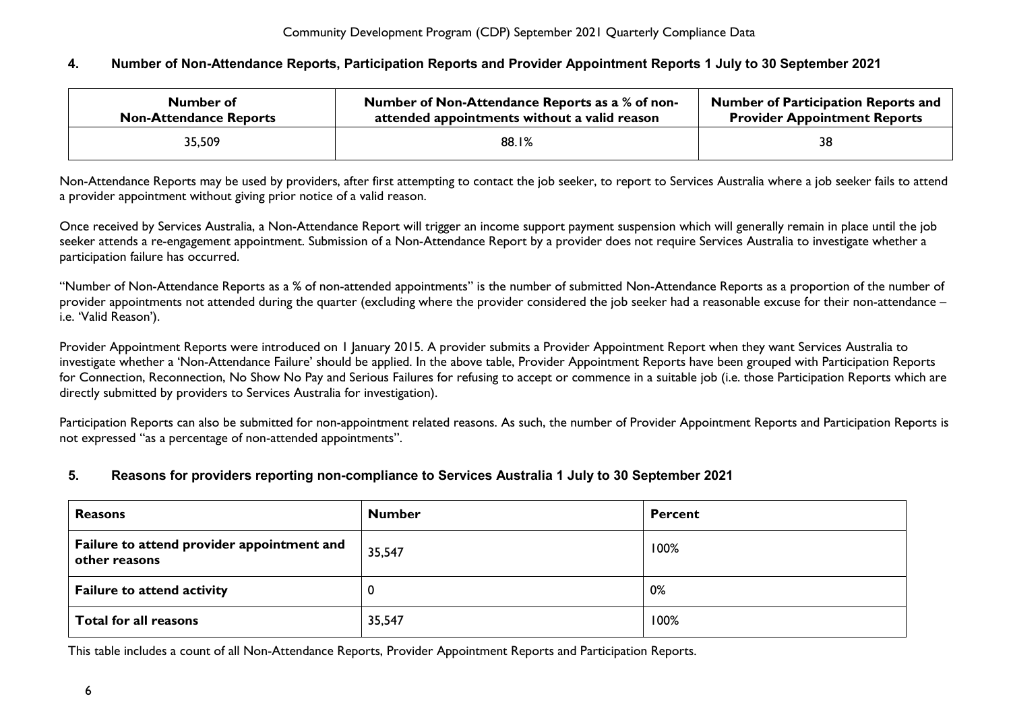#### <span id="page-6-0"></span>**4. Number of Non-Attendance Reports, Participation Reports and Provider Appointment Reports 1 July to 30 September 2021**

| Number of                     | Number of Non-Attendance Reports as a % of non- | <b>Number of Participation Reports and</b> |
|-------------------------------|-------------------------------------------------|--------------------------------------------|
| <b>Non-Attendance Reports</b> | attended appointments without a valid reason    | <b>Provider Appointment Reports</b>        |
| 35,509                        | 88.1%                                           | 38                                         |

Non-Attendance Reports may be used by providers, after first attempting to contact the job seeker, to report to Services Australia where a job seeker fails to attend a provider appointment without giving prior notice of a valid reason.

Once received by Services Australia, a Non-Attendance Report will trigger an income support payment suspension which will generally remain in place until the job seeker attends a re-engagement appointment. Submission of a Non-Attendance Report by a provider does not require Services Australia to investigate whether a participation failure has occurred.

"Number of Non-Attendance Reports as a % of non-attended appointments" is the number of submitted Non-Attendance Reports as a proportion of the number of provider appointments not attended during the quarter (excluding where the provider considered the job seeker had a reasonable excuse for their non-attendance – i.e. 'Valid Reason').

Provider Appointment Reports were introduced on 1 January 2015. A provider submits a Provider Appointment Report when they want Services Australia to investigate whether a 'Non-Attendance Failure' should be applied. In the above table, Provider Appointment Reports have been grouped with Participation Reports for Connection, Reconnection, No Show No Pay and Serious Failures for refusing to accept or commence in a suitable job (i.e. those Participation Reports which are directly submitted by providers to Services Australia for investigation).

Participation Reports can also be submitted for non-appointment related reasons. As such, the number of Provider Appointment Reports and Participation Reports is not expressed "as a percentage of non-attended appointments".

#### <span id="page-6-1"></span>**5. Reasons for providers reporting non-compliance to Services Australia 1 July to 30 September 2021**

| <b>Reasons</b>                                              | <b>Number</b> | <b>Percent</b> |
|-------------------------------------------------------------|---------------|----------------|
| Failure to attend provider appointment and<br>other reasons | 35,547        | 100%           |
| <b>Failure to attend activity</b>                           |               | 0%             |
| Total for all reasons                                       | 35,547        | 100%           |

This table includes a count of all Non-Attendance Reports, Provider Appointment Reports and Participation Reports.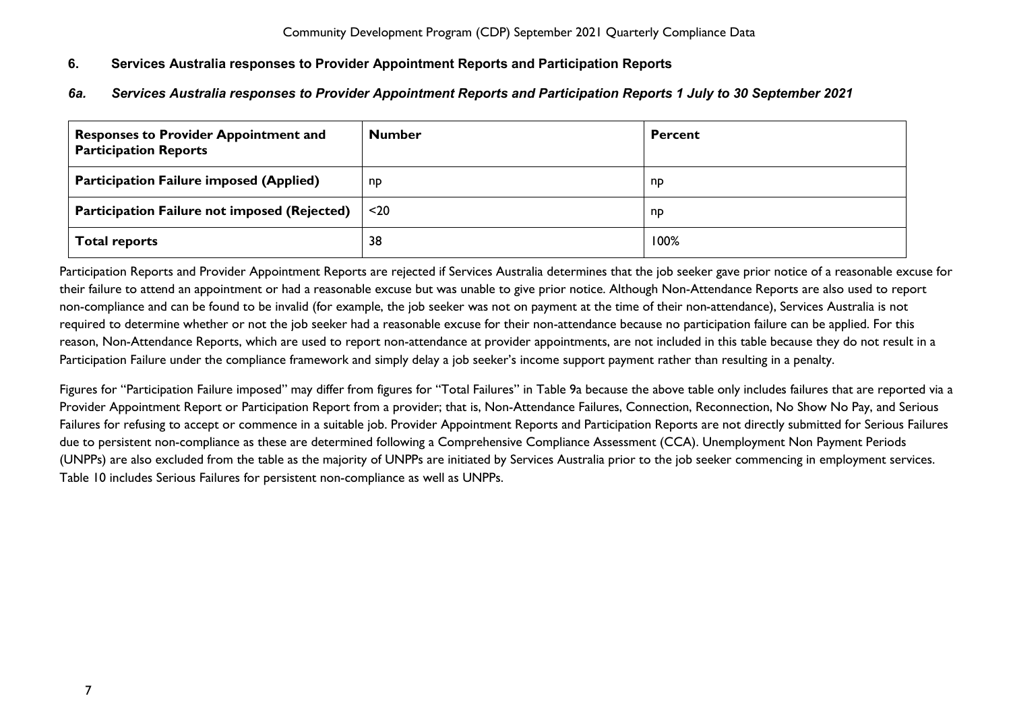## <span id="page-7-0"></span>**6. Services Australia responses to Provider Appointment Reports and Participation Reports**

#### <span id="page-7-1"></span>*6a. Services Australia responses to Provider Appointment Reports and Participation Reports 1 July to 30 September 2021*

| <b>Responses to Provider Appointment and</b><br><b>Participation Reports</b> | <b>Number</b> | <b>Percent</b> |
|------------------------------------------------------------------------------|---------------|----------------|
| <b>Participation Failure imposed (Applied)</b>                               | np            | np             |
| <b>Participation Failure not imposed (Rejected)</b>                          | $20$          | np             |
| <b>Total reports</b>                                                         | 38            | 100%           |

Participation Reports and Provider Appointment Reports are rejected if Services Australia determines that the job seeker gave prior notice of a reasonable excuse for their failure to attend an appointment or had a reasonable excuse but was unable to give prior notice. Although Non-Attendance Reports are also used to report non-compliance and can be found to be invalid (for example, the job seeker was not on payment at the time of their non-attendance), Services Australia is not required to determine whether or not the job seeker had a reasonable excuse for their non-attendance because no participation failure can be applied. For this reason, Non-Attendance Reports, which are used to report non-attendance at provider appointments, are not included in this table because they do not result in a Participation Failure under the compliance framework and simply delay a job seeker's income support payment rather than resulting in a penalty.

Figures for "Participation Failure imposed" may differ from figures for "Total Failures" in Table 9a because the above table only includes failures that are reported via a Provider Appointment Report or Participation Report from a provider; that is, Non-Attendance Failures, Connection, Reconnection, No Show No Pay, and Serious Failures for refusing to accept or commence in a suitable job. Provider Appointment Reports and Participation Reports are not directly submitted for Serious Failures due to persistent non-compliance as these are determined following a Comprehensive Compliance Assessment (CCA). Unemployment Non Payment Periods (UNPPs) are also excluded from the table as the majority of UNPPs are initiated by Services Australia prior to the job seeker commencing in employment services. Table 10 includes Serious Failures for persistent non-compliance as well as UNPPs.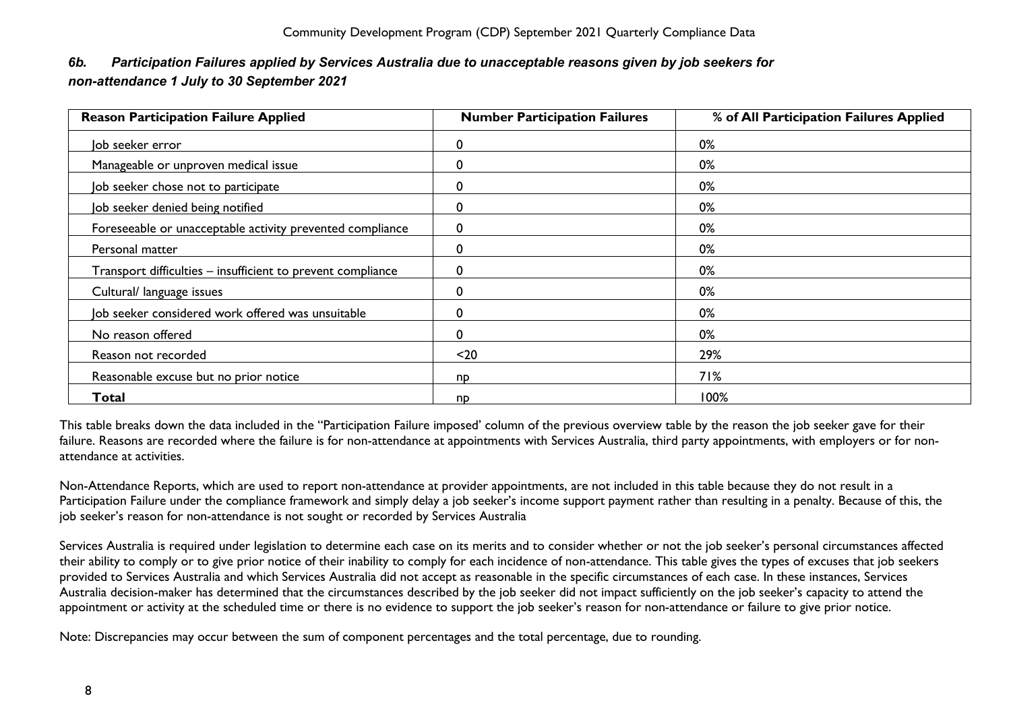# <span id="page-8-0"></span>*6b. Participation Failures applied by Services Australia due to unacceptable reasons given by job seekers for non-attendance 1 July to 30 September 2021*

| <b>Reason Participation Failure Applied</b>                 | <b>Number Participation Failures</b> | % of All Participation Failures Applied |
|-------------------------------------------------------------|--------------------------------------|-----------------------------------------|
| Job seeker error                                            | 0                                    | 0%                                      |
| Manageable or unproven medical issue                        | 0                                    | 0%                                      |
| Job seeker chose not to participate                         | 0                                    | 0%                                      |
| Job seeker denied being notified                            | 0                                    | 0%                                      |
| Foreseeable or unacceptable activity prevented compliance   | 0                                    | 0%                                      |
| Personal matter                                             | 0                                    | 0%                                      |
| Transport difficulties – insufficient to prevent compliance | 0                                    | 0%                                      |
| Cultural/ language issues                                   | 0                                    | 0%                                      |
| Job seeker considered work offered was unsuitable           | 0                                    | 0%                                      |
| No reason offered                                           | 0                                    | 0%                                      |
| Reason not recorded                                         | $20$                                 | 29%                                     |
| Reasonable excuse but no prior notice                       | np                                   | 71%                                     |
| Total                                                       | np                                   | 100%                                    |

This table breaks down the data included in the "Participation Failure imposed' column of the previous overview table by the reason the job seeker gave for their failure. Reasons are recorded where the failure is for non-attendance at appointments with Services Australia, third party appointments, with employers or for nonattendance at activities.

Non-Attendance Reports, which are used to report non-attendance at provider appointments, are not included in this table because they do not result in a Participation Failure under the compliance framework and simply delay a job seeker's income support payment rather than resulting in a penalty. Because of this, the job seeker's reason for non-attendance is not sought or recorded by Services Australia

Services Australia is required under legislation to determine each case on its merits and to consider whether or not the job seeker's personal circumstances affected their ability to comply or to give prior notice of their inability to comply for each incidence of non-attendance. This table gives the types of excuses that job seekers provided to Services Australia and which Services Australia did not accept as reasonable in the specific circumstances of each case. In these instances, Services Australia decision-maker has determined that the circumstances described by the job seeker did not impact sufficiently on the job seeker's capacity to attend the appointment or activity at the scheduled time or there is no evidence to support the job seeker's reason for non-attendance or failure to give prior notice.

Note: Discrepancies may occur between the sum of component percentages and the total percentage, due to rounding.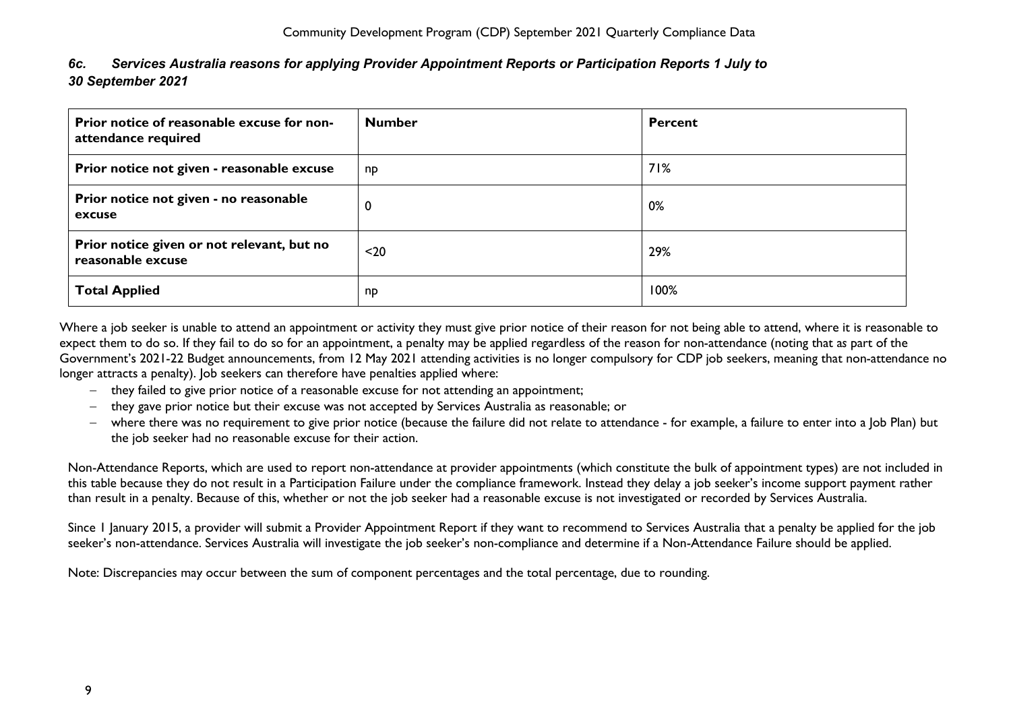<span id="page-9-0"></span>*6c. Services Australia reasons for applying Provider Appointment Reports or Participation Reports 1 July to 30 September 2021*

| Prior notice of reasonable excuse for non-<br>attendance required | <b>Number</b> | <b>Percent</b> |
|-------------------------------------------------------------------|---------------|----------------|
| Prior notice not given - reasonable excuse                        | np            | 71%            |
| Prior notice not given - no reasonable<br>excuse                  | 0             | 0%             |
| Prior notice given or not relevant, but no<br>reasonable excuse   | $20$          | 29%            |
| <b>Total Applied</b>                                              | np            | 100%           |

Where a job seeker is unable to attend an appointment or activity they must give prior notice of their reason for not being able to attend, where it is reasonable to expect them to do so. If they fail to do so for an appointment, a penalty may be applied regardless of the reason for non-attendance (noting that a*s* part of the Government's 2021-22 Budget announcements, from 12 May 2021 attending activities is no longer compulsory for CDP job seekers, meaning that non-attendance no longer attracts a penalty). Job seekers can therefore have penalties applied where:

- − they failed to give prior notice of a reasonable excuse for not attending an appointment;
- − they gave prior notice but their excuse was not accepted by Services Australia as reasonable; or
- − where there was no requirement to give prior notice (because the failure did not relate to attendance for example, a failure to enter into a Job Plan) but the job seeker had no reasonable excuse for their action.

Non-Attendance Reports, which are used to report non-attendance at provider appointments (which constitute the bulk of appointment types) are not included in this table because they do not result in a Participation Failure under the compliance framework. Instead they delay a job seeker's income support payment rather than result in a penalty. Because of this, whether or not the job seeker had a reasonable excuse is not investigated or recorded by Services Australia.

Since 1 January 2015, a provider will submit a Provider Appointment Report if they want to recommend to Services Australia that a penalty be applied for the job seeker's non-attendance. Services Australia will investigate the job seeker's non-compliance and determine if a Non-Attendance Failure should be applied.

Note: Discrepancies may occur between the sum of component percentages and the total percentage, due to rounding.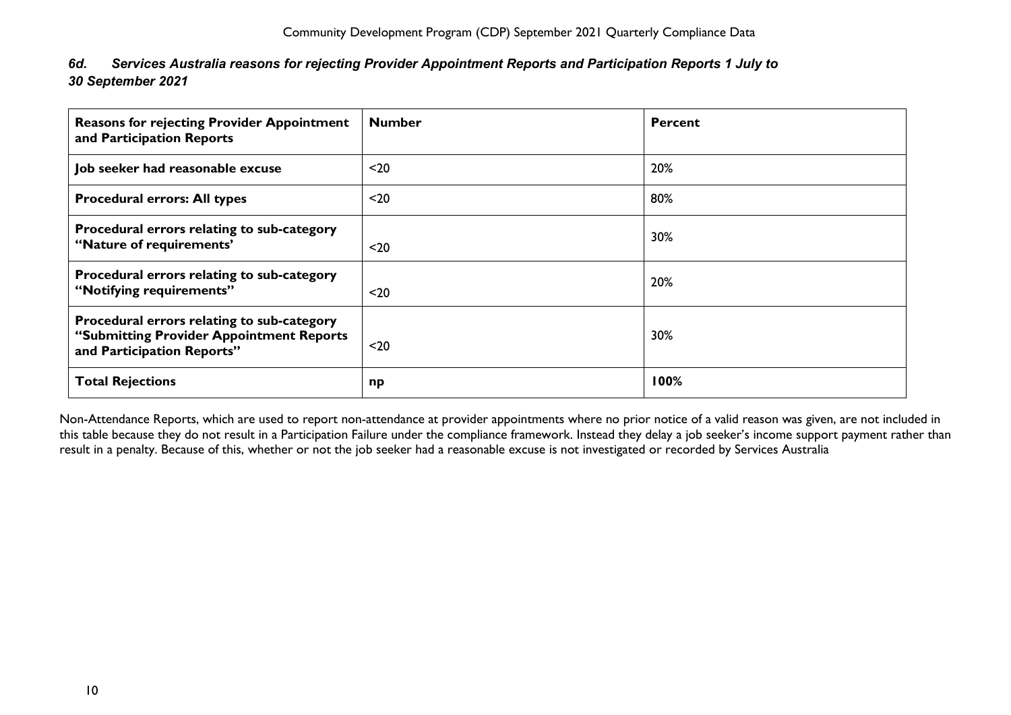<span id="page-10-0"></span>

| 6d. | Services Australia reasons for rejecting Provider Appointment Reports and Participation Reports 1 July to |
|-----|-----------------------------------------------------------------------------------------------------------|
|     | 30 September 2021                                                                                         |

| <b>Reasons for rejecting Provider Appointment</b><br>and Participation Reports                                       | <b>Number</b> | <b>Percent</b> |
|----------------------------------------------------------------------------------------------------------------------|---------------|----------------|
| Job seeker had reasonable excuse                                                                                     | $20$          | 20%            |
| <b>Procedural errors: All types</b>                                                                                  | $20$          | 80%            |
| Procedural errors relating to sub-category<br>"Nature of requirements"                                               | $20$          | 30%            |
| Procedural errors relating to sub-category<br>"Notifying requirements"                                               | $20$          | 20%            |
| Procedural errors relating to sub-category<br>"Submitting Provider Appointment Reports<br>and Participation Reports" | $20$          | 30%            |
| <b>Total Rejections</b>                                                                                              | np            | 100%           |

Non-Attendance Reports, which are used to report non-attendance at provider appointments where no prior notice of a valid reason was given, are not included in this table because they do not result in a Participation Failure under the compliance framework. Instead they delay a job seeker's income support payment rather than result in a penalty. Because of this, whether or not the job seeker had a reasonable excuse is not investigated or recorded by Services Australia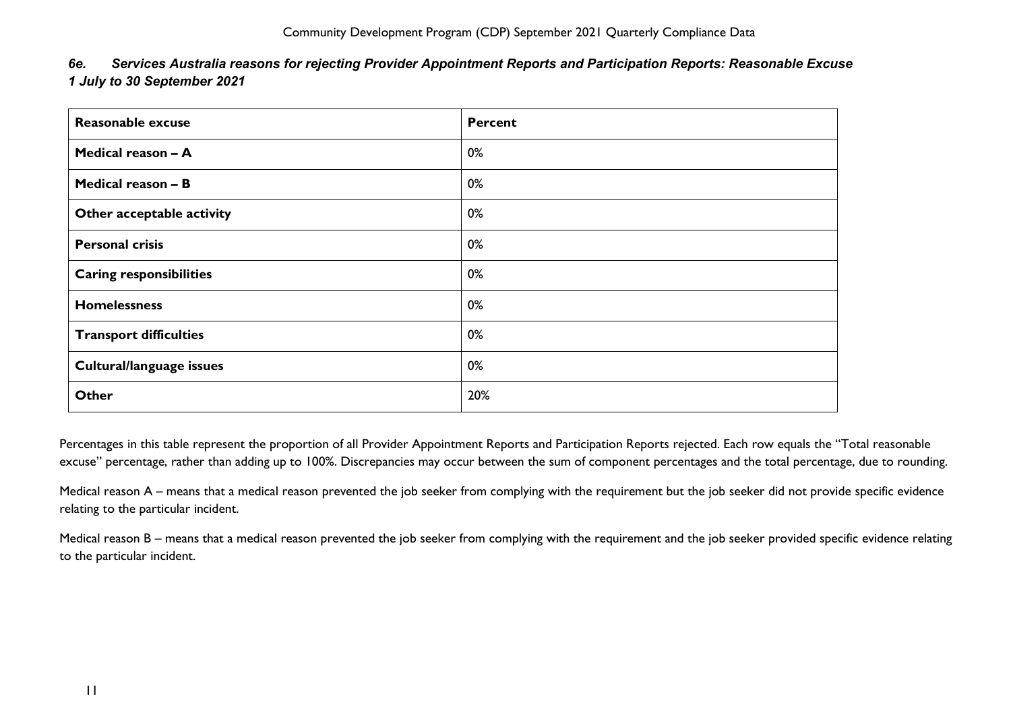| Today to go oeptember zoz r    |                |
|--------------------------------|----------------|
| <b>Reasonable excuse</b>       | <b>Percent</b> |
| Medical reason - A             | 0%             |
| Medical reason - B             | 0%             |
| Other acceptable activity      | 0%             |
| <b>Personal crisis</b>         | 0%             |
| <b>Caring responsibilities</b> | 0%             |
| <b>Homelessness</b>            | 0%             |
| <b>Transport difficulties</b>  | 0%             |
| Cultural/language issues       | 0%             |
| <b>Other</b>                   | 20%            |

<span id="page-11-0"></span>*6e. Services Australia reasons for rejecting Provider Appointment Reports and Participation Reports: Reasonable Excuse 1 July to 30 September 2021*

Percentages in this table represent the proportion of all Provider Appointment Reports and Participation Reports rejected. Each row equals the "Total reasonable excuse" percentage, rather than adding up to 100%. Discrepancies may occur between the sum of component percentages and the total percentage, due to rounding.

Medical reason A – means that a medical reason prevented the job seeker from complying with the requirement but the job seeker did not provide specific evidence relating to the particular incident.

Medical reason B – means that a medical reason prevented the job seeker from complying with the requirement and the job seeker provided specific evidence relating to the particular incident.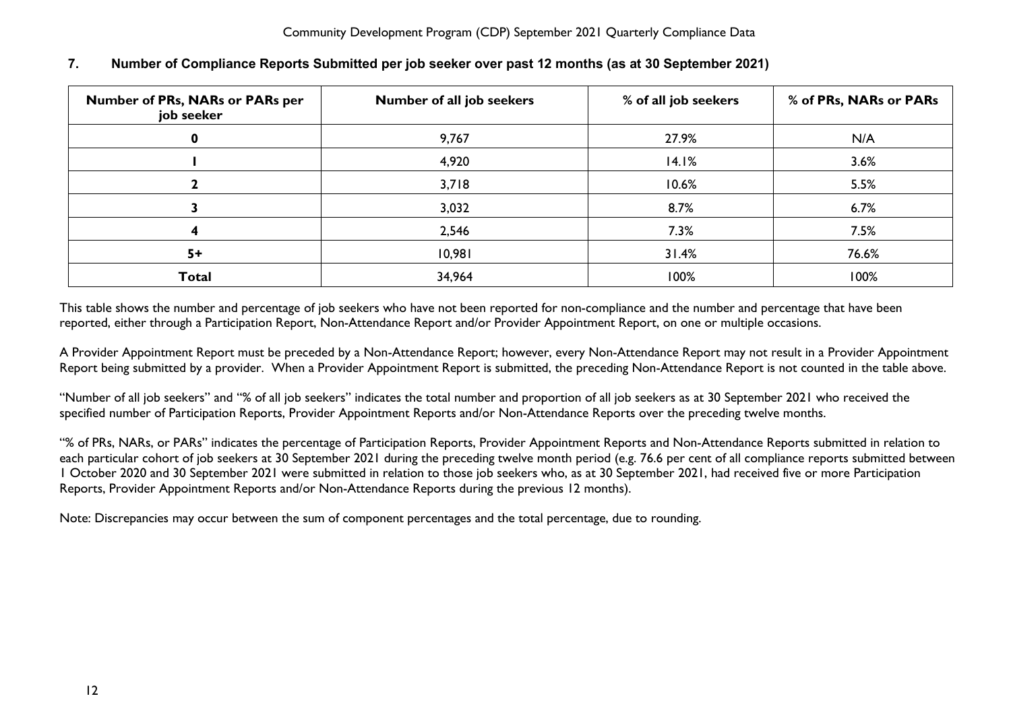| Number of PRs, NARs or PARs per<br>job seeker | Number of all job seekers | % of all job seekers | % of PRs, NARs or PARs |
|-----------------------------------------------|---------------------------|----------------------|------------------------|
|                                               | 9,767                     | 27.9%                | N/A                    |
|                                               | 4,920                     | 14.1%                | 3.6%                   |
|                                               | 3,718                     | 10.6%                | 5.5%                   |
|                                               | 3,032                     | 8.7%                 | 6.7%                   |
|                                               | 2,546                     | 7.3%                 | 7.5%                   |
| $5+$                                          | 10,981                    | 31.4%                | 76.6%                  |
| <b>Total</b>                                  | 34,964                    | 100%                 | 100%                   |

## <span id="page-12-0"></span>**7. Number of Compliance Reports Submitted per job seeker over past 12 months (as at 30 September 2021)**

This table shows the number and percentage of job seekers who have not been reported for non-compliance and the number and percentage that have been reported, either through a Participation Report, Non-Attendance Report and/or Provider Appointment Report, on one or multiple occasions.

A Provider Appointment Report must be preceded by a Non-Attendance Report; however, every Non-Attendance Report may not result in a Provider Appointment Report being submitted by a provider. When a Provider Appointment Report is submitted, the preceding Non-Attendance Report is not counted in the table above.

"Number of all job seekers" and "% of all job seekers" indicates the total number and proportion of all job seekers as at 30 September 2021 who received the specified number of Participation Reports, Provider Appointment Reports and/or Non-Attendance Reports over the preceding twelve months.

"% of PRs, NARs, or PARs" indicates the percentage of Participation Reports, Provider Appointment Reports and Non-Attendance Reports submitted in relation to each particular cohort of job seekers at 30 September 2021 during the preceding twelve month period (e.g. 76.6 per cent of all compliance reports submitted between 1 October 2020 and 30 September 2021 were submitted in relation to those job seekers who, as at 30 September 2021, had received five or more Participation Reports, Provider Appointment Reports and/or Non-Attendance Reports during the previous 12 months).

Note: Discrepancies may occur between the sum of component percentages and the total percentage, due to rounding.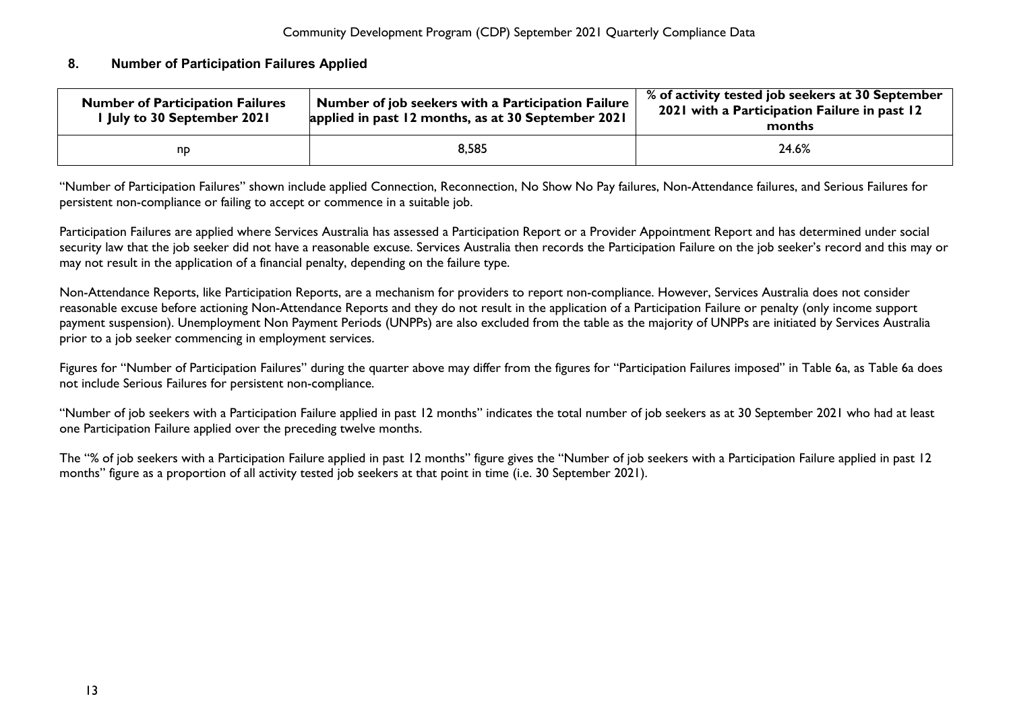#### <span id="page-13-0"></span>**8. Number of Participation Failures Applied**

| <b>Number of Participation Failures</b><br>I July to 30 September 2021 | Number of job seekers with a Participation Failure<br>applied in past 12 months, as at 30 September 2021 | % of activity tested job seekers at 30 September<br>2021 with a Participation Failure in past 12<br>months |
|------------------------------------------------------------------------|----------------------------------------------------------------------------------------------------------|------------------------------------------------------------------------------------------------------------|
| np                                                                     | 8,585                                                                                                    | 24.6%                                                                                                      |

"Number of Participation Failures" shown include applied Connection, Reconnection, No Show No Pay failures, Non-Attendance failures, and Serious Failures for persistent non-compliance or failing to accept or commence in a suitable job.

Participation Failures are applied where Services Australia has assessed a Participation Report or a Provider Appointment Report and has determined under social security law that the job seeker did not have a reasonable excuse. Services Australia then records the Participation Failure on the job seeker's record and this may or may not result in the application of a financial penalty, depending on the failure type.

Non-Attendance Reports, like Participation Reports, are a mechanism for providers to report non-compliance. However, Services Australia does not consider reasonable excuse before actioning Non-Attendance Reports and they do not result in the application of a Participation Failure or penalty (only income support payment suspension). Unemployment Non Payment Periods (UNPPs) are also excluded from the table as the majority of UNPPs are initiated by Services Australia prior to a job seeker commencing in employment services.

Figures for "Number of Participation Failures" during the quarter above may differ from the figures for "Participation Failures imposed" in Table 6a, as Table 6a does not include Serious Failures for persistent non-compliance.

"Number of job seekers with a Participation Failure applied in past 12 months" indicates the total number of job seekers as at 30 September 2021 who had at least one Participation Failure applied over the preceding twelve months.

The "% of job seekers with a Participation Failure applied in past 12 months" figure gives the "Number of job seekers with a Participation Failure applied in past 12 months" figure as a proportion of all activity tested job seekers at that point in time (i.e. 30 September 2021).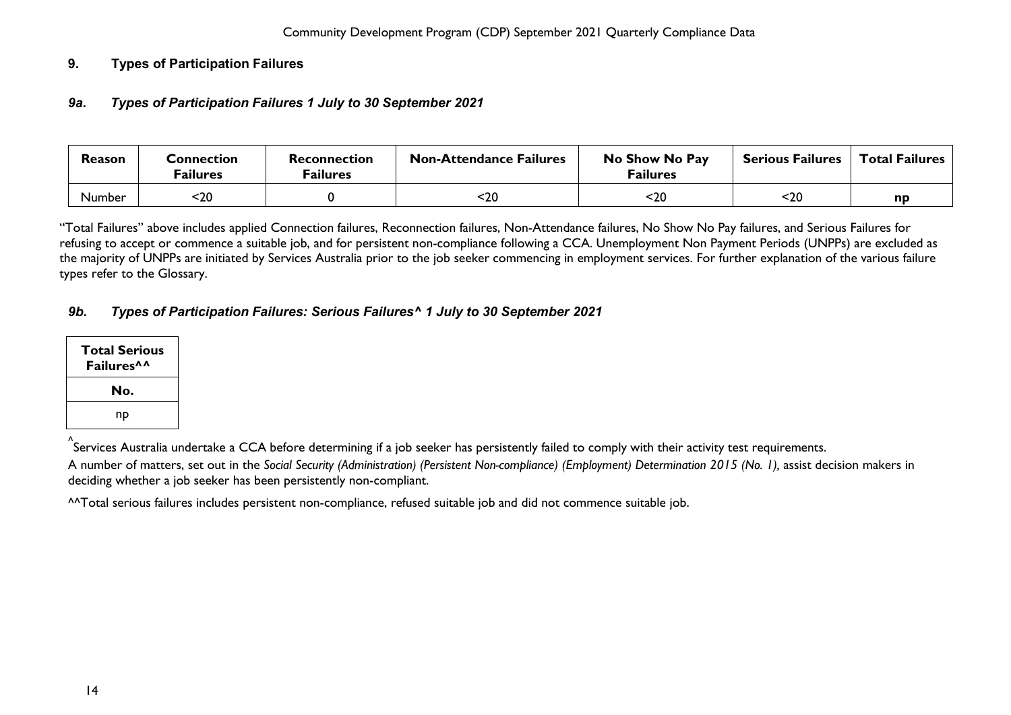## <span id="page-14-1"></span><span id="page-14-0"></span>**9. Types of Participation Failures**

## *9a***.** *Types of Participation Failures 1 July to 30 September 2021*

| Reason | Connection<br><sup>=</sup> ailures | Reconnection<br><sup>=</sup> ailures | <b>Non-Attendance Failures</b> | No Show No Pay<br><b>Failures</b> | <b>Serious Failures</b> | <b>Total Failures</b> |
|--------|------------------------------------|--------------------------------------|--------------------------------|-----------------------------------|-------------------------|-----------------------|
| Number | -20                                |                                      | 20>                            | <20                               | $20$                    | np                    |

"Total Failures" above includes applied Connection failures, Reconnection failures, Non-Attendance failures, No Show No Pay failures, and Serious Failures for refusing to accept or commence a suitable job, and for persistent non-compliance following a CCA. Unemployment Non Payment Periods (UNPPs) are excluded as the majority of UNPPs are initiated by Services Australia prior to the job seeker commencing in employment services. For further explanation of the various failure types refer to the Glossary.

# <span id="page-14-2"></span>*9b. Types of Participation Failures: Serious Failures^ 1 July to 30 September 2021*

| <b>Total Serious</b><br>Failures <sup>^^</sup> |
|------------------------------------------------|
| No.                                            |
| np                                             |

^ Services Australia undertake a CCA before determining if a job seeker has persistently failed to comply with their activity test requirements.

A number of matters, set out in the *Social Security (Administration) (Persistent Non-compliance) (Employment) Determination 2015 (No. 1),* assist decision makers in deciding whether a job seeker has been persistently non-compliant.

^^Total serious failures includes persistent non-compliance, refused suitable job and did not commence suitable job.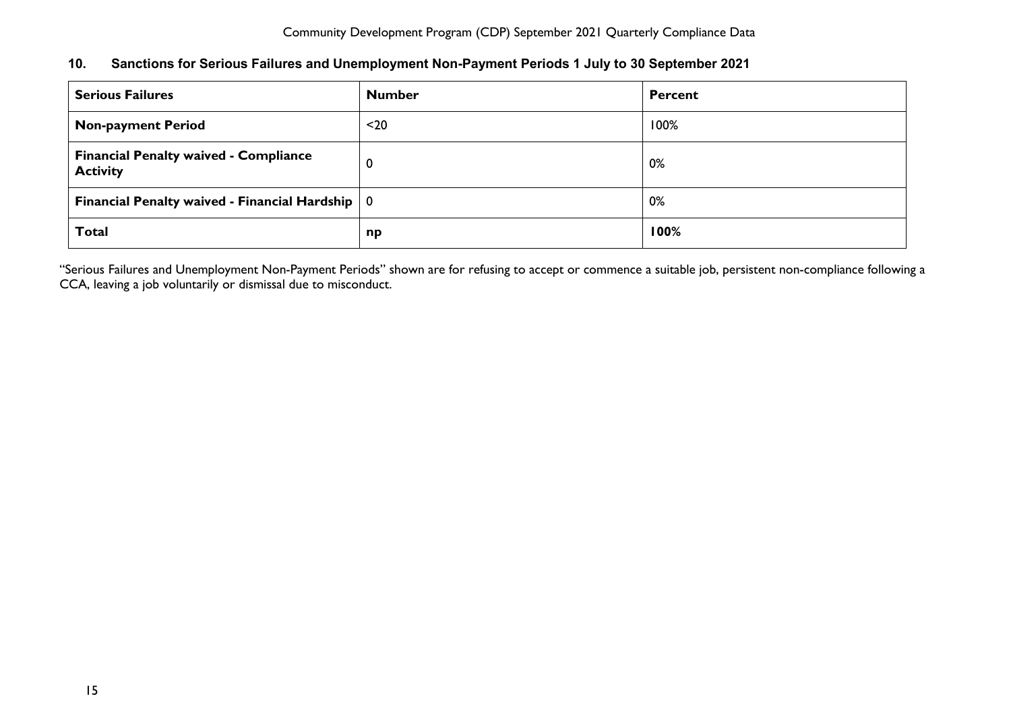## <span id="page-15-0"></span>**10. Sanctions for Serious Failures and Unemployment Non-Payment Periods 1 July to 30 September 2021**

| <b>Serious Failures</b>                                         | <b>Number</b> | Percent |
|-----------------------------------------------------------------|---------------|---------|
| <b>Non-payment Period</b>                                       | $20$          | 100%    |
| <b>Financial Penalty waived - Compliance</b><br><b>Activity</b> | 0             | 0%      |
| Financial Penalty waived - Financial Hardship $\vert 0 \vert$   |               | 0%      |
| <b>Total</b>                                                    | np            | 100%    |

"Serious Failures and Unemployment Non-Payment Periods" shown are for refusing to accept or commence a suitable job, persistent non-compliance following a CCA, leaving a job voluntarily or dismissal due to misconduct.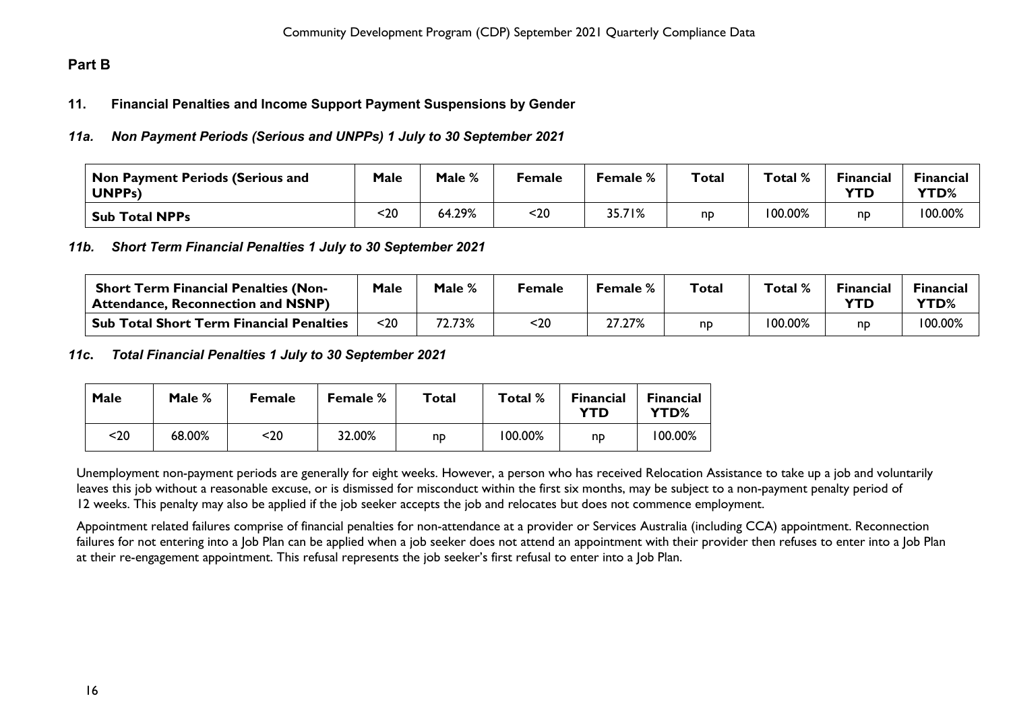# <span id="page-16-1"></span><span id="page-16-0"></span>**Part B**

#### **11. Financial Penalties and Income Support Payment Suspensions by Gender**

#### <span id="page-16-2"></span>*11a. Non Payment Periods (Serious and UNPPs) 1 July to 30 September 2021*

| Non Payment Periods (Serious and<br>UNPP <sub>s</sub> ) | <b>Male</b> | Male % | Female | <b>Female</b> % | <b>Total</b> | Total % | <b>Financial</b><br><b>YTD</b> | <b>Financial</b><br><b>YTD%</b> |
|---------------------------------------------------------|-------------|--------|--------|-----------------|--------------|---------|--------------------------------|---------------------------------|
| <b>Sub Total NPPs</b>                                   | 20          | 64.29% | $20$   | 35.71%          | np           | 100.00% | nd                             | 100.00%                         |

#### <span id="page-16-3"></span>*11b. Short Term Financial Penalties 1 July to 30 September 2021*

| <b>Short Term Financial Penalties (Non-</b><br><sup>'</sup> Attendance, Reconnection and NSNP) | Male | Male % | Female | Female % | $\tau$ otal | Total % | Financial<br><b>YTD</b> | <b>Financial</b><br><b>YTD%</b> |
|------------------------------------------------------------------------------------------------|------|--------|--------|----------|-------------|---------|-------------------------|---------------------------------|
| <b>Sub Total Short Term Financial Penalties</b>                                                | $20$ | 72.73% | <20    | 27.27%   | np          | 100.00% | np                      | 100.00%                         |

#### <span id="page-16-4"></span>*11c***.** *Total Financial Penalties 1 July to 30 September 2021*

| Male | Male % | <b>Female</b> | <b>Female %</b> | Total | Total % | <b>Financial</b><br>YTD | <b>Financial</b><br>YTD% |
|------|--------|---------------|-----------------|-------|---------|-------------------------|--------------------------|
| <20  | 68.00% | <20           | 32.00%          | np    | 100.00% | np                      | 100.00%                  |

Unemployment non-payment periods are generally for eight weeks. However, a person who has received Relocation Assistance to take up a job and voluntarily leaves this job without a reasonable excuse, or is dismissed for misconduct within the first six months, may be subject to a non-payment penalty period of 12 weeks. This penalty may also be applied if the job seeker accepts the job and relocates but does not commence employment.

Appointment related failures comprise of financial penalties for non-attendance at a provider or Services Australia (including CCA) appointment. Reconnection failures for not entering into a Job Plan can be applied when a job seeker does not attend an appointment with their provider then refuses to enter into a Job Plan at their re-engagement appointment. This refusal represents the job seeker's first refusal to enter into a Job Plan.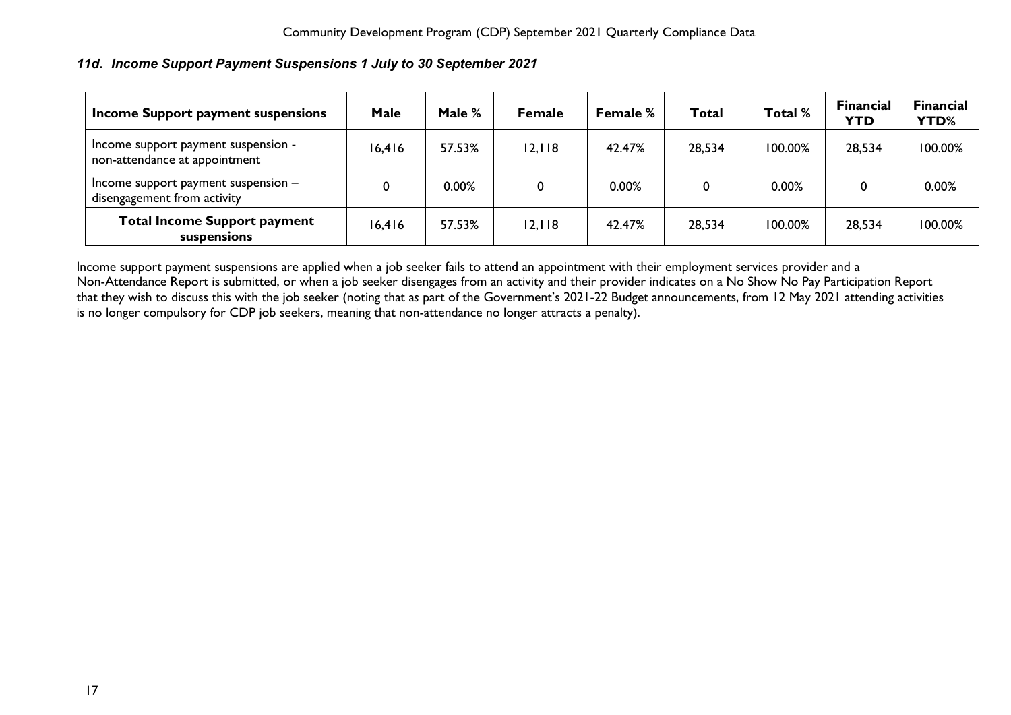## <span id="page-17-0"></span>*11d. Income Support Payment Suspensions 1 July to 30 September 2021*

| Income Support payment suspensions                                   | <b>Male</b> | Male % | <b>Female</b> | Female % | <b>Total</b> | Total % | <b>Financial</b><br><b>YTD</b> | <b>Financial</b><br><b>YTD%</b> |
|----------------------------------------------------------------------|-------------|--------|---------------|----------|--------------|---------|--------------------------------|---------------------------------|
| Income support payment suspension -<br>non-attendance at appointment | 16,416      | 57.53% | 12,118        | 42.47%   | 28,534       | 100.00% | 28,534                         | 100.00%                         |
| Income support payment suspension -<br>disengagement from activity   |             | 0.00%  | 0             | 0.00%    | 0            | 0.00%   |                                | 0.00%                           |
| <b>Total Income Support payment</b><br>suspensions                   | 16,416      | 57.53% | 12,118        | 42.47%   | 28,534       | 100.00% | 28,534                         | 100.00%                         |

Income support payment suspensions are applied when a job seeker fails to attend an appointment with their employment services provider and a Non-Attendance Report is submitted, or when a job seeker disengages from an activity and their provider indicates on a No Show No Pay Participation Report that they wish to discuss this with the job seeker (noting that a*s* part of the Government's 2021-22 Budget announcements, from 12 May 2021 attending activities is no longer compulsory for CDP job seekers, meaning that non-attendance no longer attracts a penalty).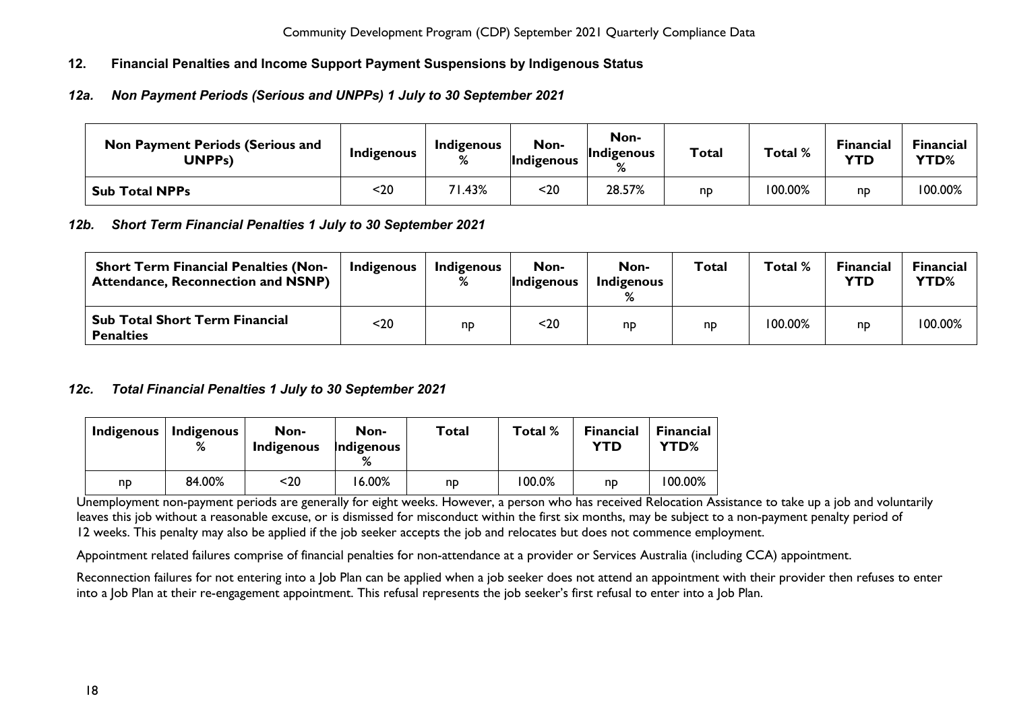# <span id="page-18-0"></span>**12. Financial Penalties and Income Support Payment Suspensions by Indigenous Status**

## <span id="page-18-1"></span>*12a. Non Payment Periods (Serious and UNPPs) 1 July to 30 September 2021*

| <b>Non Payment Periods (Serious and</b><br>UNPPs) | Indigenous | Indigenous<br>℅ | Non-<br><b>Indigenous</b> | Non-<br>Indigenous<br>$\mathsf{o}$ | <b>Total</b> | Total % | <b>Financial</b><br>YTD | Financial<br>YTD% |
|---------------------------------------------------|------------|-----------------|---------------------------|------------------------------------|--------------|---------|-------------------------|-------------------|
| <b>Sub Total NPPs</b>                             | <20        | '1.43%          | $20$                      | 28.57%                             | np           | 100.00% | np                      | 100.00%           |

#### <span id="page-18-2"></span>*12b. Short Term Financial Penalties 1 July to 30 September 2021*

| <b>Short Term Financial Penalties (Non-</b><br><b>Attendance, Reconnection and NSNP)</b> | Indigenous | Indigenous | Non-<br><i>Indigenous</i> | Non-<br>Indigenous | <b>Total</b> | Total % | <b>Financial</b><br>YTD | Financial<br>YTD% |
|------------------------------------------------------------------------------------------|------------|------------|---------------------------|--------------------|--------------|---------|-------------------------|-------------------|
| <b>Sub Total Short Term Financial</b><br><b>Penalties</b>                                | <20        | np         | <20                       | np                 | np           | '00.00% | np                      | 100.00%           |

#### <span id="page-18-3"></span>*12c. Total Financial Penalties 1 July to 30 September 2021*

| <b>Indigenous</b> | <b>Indigenous</b><br>% | Non-<br>Indigenous | Non-<br>Indigenous | Total | Total %   | <b>Financial</b><br>YTD | <b>Financial</b><br>YTD% |
|-------------------|------------------------|--------------------|--------------------|-------|-----------|-------------------------|--------------------------|
| np                | 84.00%                 | $20$               | 16.00%             | np    | $100.0\%$ | np                      | 100.00%                  |

Unemployment non-payment periods are generally for eight weeks. However, a person who has received Relocation Assistance to take up a job and voluntarily leaves this job without a reasonable excuse, or is dismissed for misconduct within the first six months, may be subject to a non-payment penalty period of 12 weeks. This penalty may also be applied if the job seeker accepts the job and relocates but does not commence employment.

Appointment related failures comprise of financial penalties for non-attendance at a provider or Services Australia (including CCA) appointment.

Reconnection failures for not entering into a Job Plan can be applied when a job seeker does not attend an appointment with their provider then refuses to enter into a Job Plan at their re-engagement appointment. This refusal represents the job seeker's first refusal to enter into a Job Plan.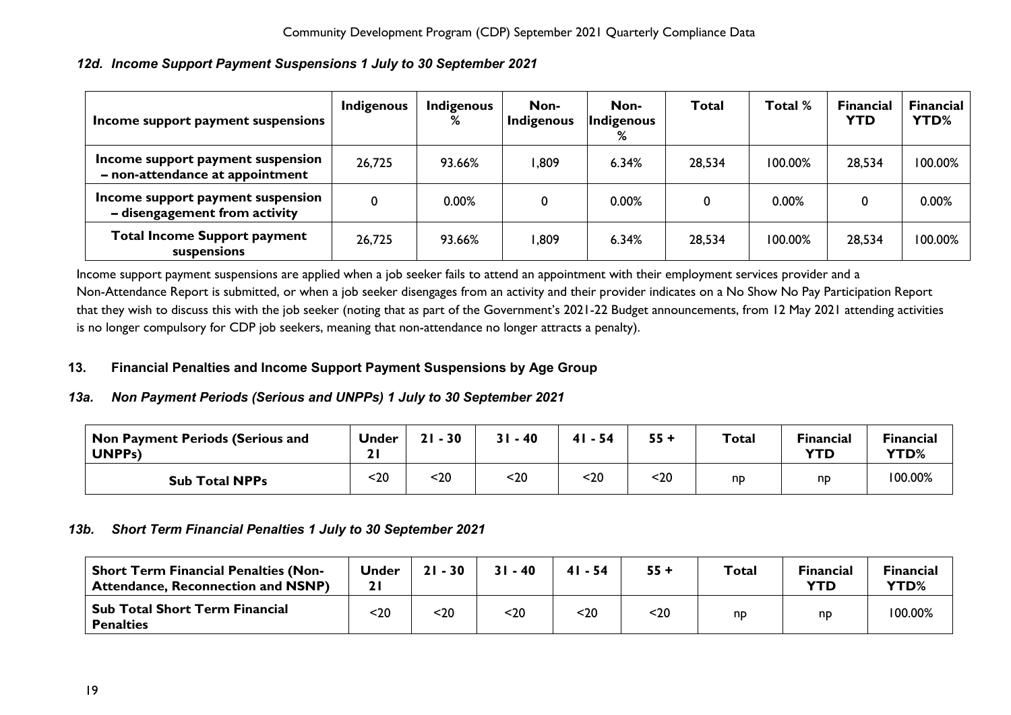| Income support payment suspensions                                   | <b>Indigenous</b> | <b>Indigenous</b><br>% | Non-<br>Indigenous | Non-<br>Indigenous<br>% | Total  | Total % | <b>Financial</b><br><b>YTD</b> | <b>Financial</b><br>YTD% |
|----------------------------------------------------------------------|-------------------|------------------------|--------------------|-------------------------|--------|---------|--------------------------------|--------------------------|
| Income support payment suspension<br>- non-attendance at appointment | 26,725            | 93.66%                 | .809               | 6.34%                   | 28,534 | 100.00% | 28,534                         | 100.00%                  |
| Income support payment suspension<br>- disengagement from activity   | 0                 | 0.00%                  | 0                  | 0.00%                   |        | 0.00%   | 0                              | 0.00%                    |
| <b>Total Income Support payment</b><br>suspensions                   | 26,725            | 93.66%                 | <b>809,</b>        | 6.34%                   | 28,534 | 100.00% | 28,534                         | 100.00%                  |

# <span id="page-19-0"></span>*12d. Income Support Payment Suspensions 1 July to 30 September 2021*

Income support payment suspensions are applied when a job seeker fails to attend an appointment with their employment services provider and a Non-Attendance Report is submitted, or when a job seeker disengages from an activity and their provider indicates on a No Show No Pay Participation Report that they wish to discuss this with the job seeker (noting that a*s* part of the Government's 2021-22 Budget announcements, from 12 May 2021 attending activities is no longer compulsory for CDP job seekers, meaning that non-attendance no longer attracts a penalty).

# <span id="page-19-1"></span>**13. Financial Penalties and Income Support Payment Suspensions by Age Group**

#### <span id="page-19-2"></span>*13a. Non Payment Periods (Serious and UNPPs) 1 July to 30 September 2021*

| Non Payment Periods (Serious and<br>UNPP <sub>S</sub> ) | <b>Under</b> | $-30$<br>21 | $31 - 40$ | $-54$<br>41 | 55 + | <b>Total</b> | <b>Financial</b><br>YTD | <b>Financial</b><br>YTD% |
|---------------------------------------------------------|--------------|-------------|-----------|-------------|------|--------------|-------------------------|--------------------------|
| <b>Sub Total NPPs</b>                                   | $20$         | $20$        | 20        | $20$        | <20  | np           | np                      | 100.00%                  |

#### <span id="page-19-3"></span>*13b. Short Term Financial Penalties 1 July to 30 September 2021*

| <b>Short Term Financial Penalties (Non-</b><br><b>Attendance, Reconnection and NSNP)</b> | Jnder | $21 - 30$ | $31 - 40$ | $41 - 54$ | $55 +$ | <b>Total</b> | <b>Financial</b><br><b>YTD</b> | <b>Financial</b><br>YTD% |
|------------------------------------------------------------------------------------------|-------|-----------|-----------|-----------|--------|--------------|--------------------------------|--------------------------|
| <b>Sub Total Short Term Financial</b><br><b>Penalties</b>                                | $20$  | <20       | $20$      | <20       | $20$   | np           | np                             | 100.00%                  |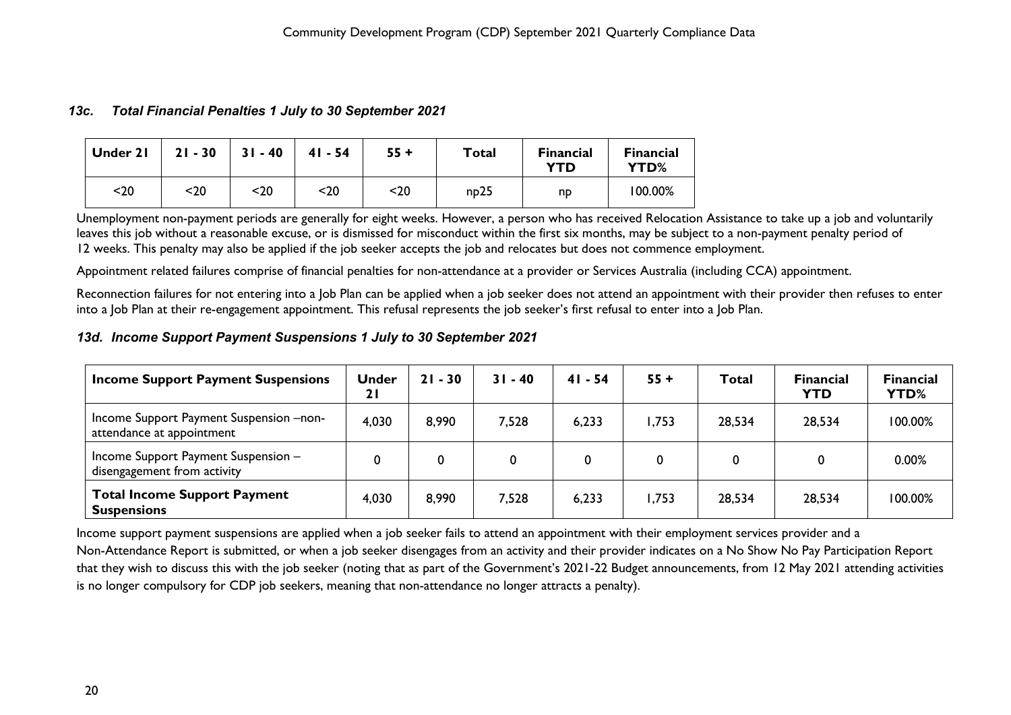#### <span id="page-20-0"></span>*13c. Total Financial Penalties 1 July to 30 September 2021*

| Under 21 | $21 - 30$ | $31 - 40$ | $41 - 54$ | $55 +$ | <b>Total</b> | <b>Financial</b><br><b>YTD</b> | <b>Financial</b><br>YTD% |
|----------|-----------|-----------|-----------|--------|--------------|--------------------------------|--------------------------|
| $20$     | <20       | <20       | $20$      | $20$   | np25         | np                             | 100.00%                  |

Unemployment non-payment periods are generally for eight weeks. However, a person who has received Relocation Assistance to take up a job and voluntarily leaves this job without a reasonable excuse, or is dismissed for misconduct within the first six months, may be subject to a non-payment penalty period of 12 weeks. This penalty may also be applied if the job seeker accepts the job and relocates but does not commence employment.

Appointment related failures comprise of financial penalties for non-attendance at a provider or Services Australia (including CCA) appointment.

Reconnection failures for not entering into a Job Plan can be applied when a job seeker does not attend an appointment with their provider then refuses to enter into a Job Plan at their re-engagement appointment. This refusal represents the job seeker's first refusal to enter into a Job Plan.

#### <span id="page-20-1"></span>*13d. Income Support Payment Suspensions 1 July to 30 September 2021*

| <b>Income Support Payment Suspensions</b>                            | <b>Under</b><br>21 | $21 - 30$ | $31 - 40$ | $41 - 54$ | $55 +$ | Total  | <b>Financial</b><br><b>YTD</b> | <b>Financial</b><br>YTD% |
|----------------------------------------------------------------------|--------------------|-----------|-----------|-----------|--------|--------|--------------------------------|--------------------------|
| Income Support Payment Suspension -non-<br>attendance at appointment | 4,030              | 8,990     | 7,528     | 6,233     | .753   | 28,534 | 28,534                         | 100.00%                  |
| Income Support Payment Suspension -<br>disengagement from activity   | 0                  | 0         |           | 0         | 0      |        | 0                              | 0.00%                    |
| <b>Total Income Support Payment</b><br><b>Suspensions</b>            | 4,030              | 8,990     | 7,528     | 6,233     | .753   | 28,534 | 28,534                         | 100.00%                  |

Income support payment suspensions are applied when a job seeker fails to attend an appointment with their employment services provider and a Non-Attendance Report is submitted, or when a job seeker disengages from an activity and their provider indicates on a No Show No Pay Participation Report that they wish to discuss this with the job seeker (noting that a*s* part of the Government's 2021-22 Budget announcements, from 12 May 2021 attending activities is no longer compulsory for CDP job seekers, meaning that non-attendance no longer attracts a penalty).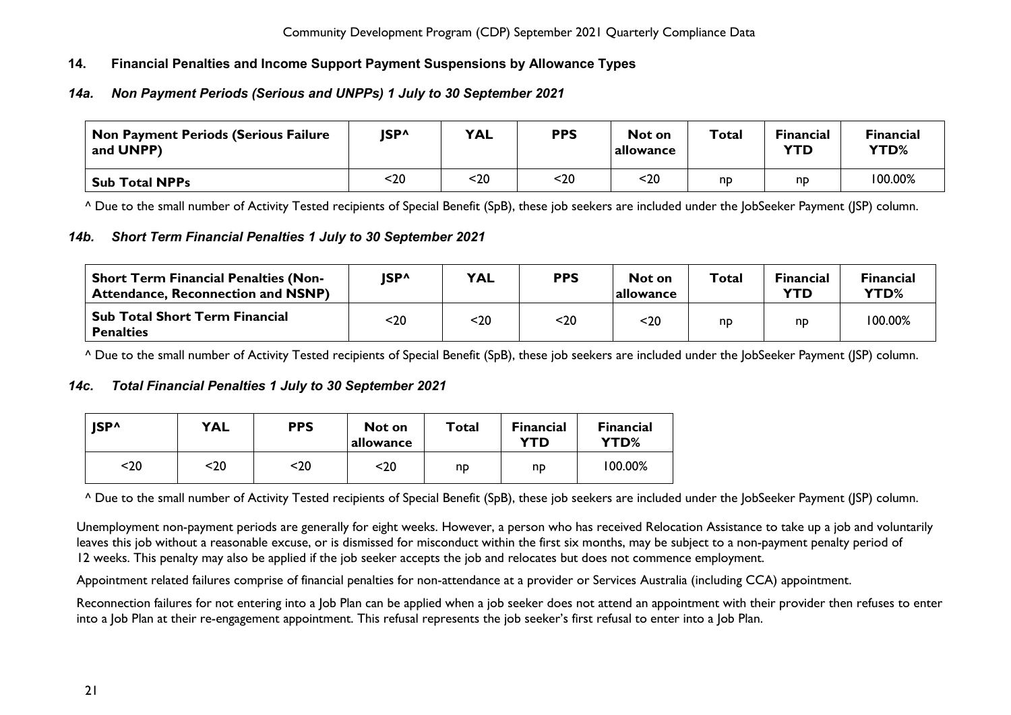# <span id="page-21-0"></span>**14. Financial Penalties and Income Support Payment Suspensions by Allowance Types**

# <span id="page-21-1"></span>*14a. Non Payment Periods (Serious and UNPPs) 1 July to 30 September 2021*

| Non Payment Periods (Serious Failure<br>and UNPP) | JSP^ | <b>YAL</b> | <b>PPS</b> | Not on<br>allowance | Total | <b>Financial</b><br><b>YTD</b> | <b>Financial</b><br><b>YTD%</b> |
|---------------------------------------------------|------|------------|------------|---------------------|-------|--------------------------------|---------------------------------|
| <b>Sub Total NPPs</b>                             | <20  | $20$       | $20$       | $20$                | np    | np                             | 100.00%                         |

^ Due to the small number of Activity Tested recipients of Special Benefit (SpB), these job seekers are included under the JobSeeker Payment (JSP) column.

#### <span id="page-21-2"></span>*14b. Short Term Financial Penalties 1 July to 30 September 2021*

| <b>Short Term Financial Penalties (Non-</b><br><b>Attendance, Reconnection and NSNP)</b> | ISP <sup>^</sup> | <b>YAL</b> | <b>PPS</b> | Not on<br> allowance | Total | <b>Financial</b><br><b>YTD</b> | Financial<br>YTD% |
|------------------------------------------------------------------------------------------|------------------|------------|------------|----------------------|-------|--------------------------------|-------------------|
| <b>Sub Total Short Term Financial</b><br><b>Penalties</b>                                | <20              | $20$       | <20        | $20$                 | np    | nd                             | 100.00%           |

^ Due to the small number of Activity Tested recipients of Special Benefit (SpB), these job seekers are included under the JobSeeker Payment (JSP) column.

# <span id="page-21-3"></span>*14c. Total Financial Penalties 1 July to 30 September 2021*

| <b>ISP^</b> | <b>YAL</b> | <b>PPS</b> | Not on<br>allowance | Total | <b>Financial</b><br>YTD | <b>Financial</b><br>YTD% |
|-------------|------------|------------|---------------------|-------|-------------------------|--------------------------|
| <20         | <20        | <20        | <20                 | np    | np                      | 100.00%                  |

^ Due to the small number of Activity Tested recipients of Special Benefit (SpB), these job seekers are included under the JobSeeker Payment (JSP) column.

Unemployment non-payment periods are generally for eight weeks. However, a person who has received Relocation Assistance to take up a job and voluntarily leaves this iob without a reasonable excuse, or is dismissed for misconduct within the first six months, may be subject to a non-payment penalty period of 12 weeks. This penalty may also be applied if the job seeker accepts the job and relocates but does not commence employment.

Appointment related failures comprise of financial penalties for non-attendance at a provider or Services Australia (including CCA) appointment.

Reconnection failures for not entering into a Job Plan can be applied when a job seeker does not attend an appointment with their provider then refuses to enter into a Job Plan at their re-engagement appointment. This refusal represents the job seeker's first refusal to enter into a Job Plan.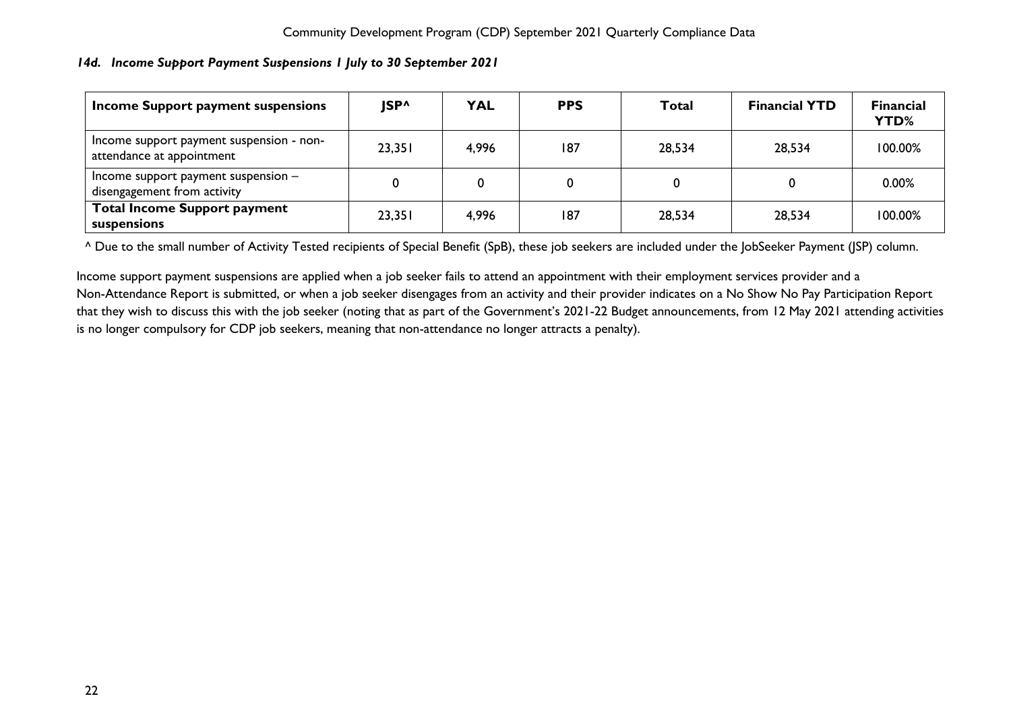## <span id="page-22-0"></span>*14d. Income Support Payment Suspensions 1 July to 30 September 2021*

| Income Support payment suspensions                                    | <b>ISP^</b> | <b>YAL</b> | <b>PPS</b> | Total  | <b>Financial YTD</b> | <b>Financial</b><br><b>YTD%</b> |
|-----------------------------------------------------------------------|-------------|------------|------------|--------|----------------------|---------------------------------|
| Income support payment suspension - non-<br>attendance at appointment | 23,351      | 4,996      | 187        | 28,534 | 28,534               | 100.00%                         |
| Income support payment suspension $-$<br>disengagement from activity  |             |            | 0          |        |                      | 0.00%                           |
| <b>Total Income Support payment</b><br>suspensions                    | 23,351      | 4,996      | 187        | 28,534 | 28,534               | 100.00%                         |

^ Due to the small number of Activity Tested recipients of Special Benefit (SpB), these job seekers are included under the JobSeeker Payment (JSP) column.

Income support payment suspensions are applied when a job seeker fails to attend an appointment with their employment services provider and a Non-Attendance Report is submitted, or when a job seeker disengages from an activity and their provider indicates on a No Show No Pay Participation Report that they wish to discuss this with the job seeker (noting that a*s* part of the Government's 2021-22 Budget announcements, from 12 May 2021 attending activities is no longer compulsory for CDP job seekers, meaning that non-attendance no longer attracts a penalty).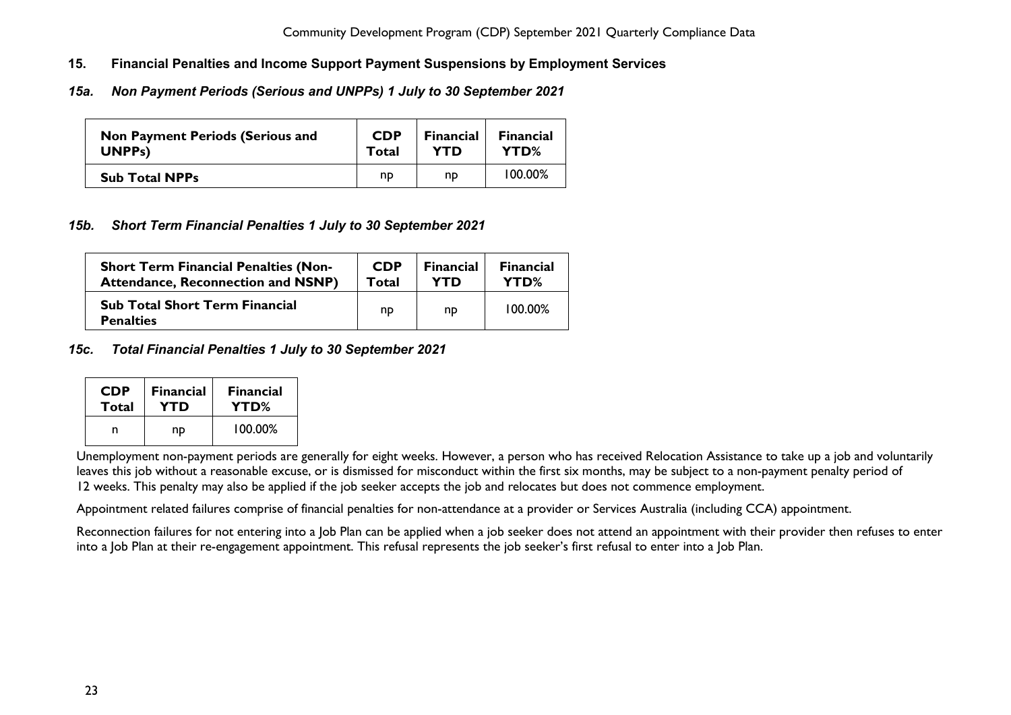- <span id="page-23-0"></span>**15. Financial Penalties and Income Support Payment Suspensions by Employment Services**
- <span id="page-23-1"></span>*15a. Non Payment Periods (Serious and UNPPs) 1 July to 30 September 2021*

| <b>Non Payment Periods (Serious and</b> | <b>CDP</b> | <b>Financial</b> | <b>Financial</b> |
|-----------------------------------------|------------|------------------|------------------|
| UNPP <sub>s</sub> )                     | Total      | <b>YTD</b>       | YTD%             |
| <b>Sub Total NPPs</b>                   | np         | np               | 100.00%          |

# <span id="page-23-2"></span>*15b. Short Term Financial Penalties 1 July to 30 September 2021*

| <b>Short Term Financial Penalties (Non-</b>               | <b>CDP</b> | <b>Financial</b> | <b>Financial</b> |
|-----------------------------------------------------------|------------|------------------|------------------|
| <b>Attendance, Reconnection and NSNP)</b>                 | Total      | <b>YTD</b>       | YTD%             |
| <b>Sub Total Short Term Financial</b><br><b>Penalties</b> | np         | np               | 100.00%          |

<span id="page-23-3"></span>*15c. Total Financial Penalties 1 July to 30 September 2021*

| <b>CDP</b> | <b>Financial</b> | <b>Financial</b> |
|------------|------------------|------------------|
| Total      | YTD              | YTD%             |
|            | nd               | 100.00%          |

Unemployment non-payment periods are generally for eight weeks. However, a person who has received Relocation Assistance to take up a job and voluntarily leaves this job without a reasonable excuse, or is dismissed for misconduct within the first six months, may be subject to a non-payment penalty period of 12 weeks. This penalty may also be applied if the job seeker accepts the job and relocates but does not commence employment.

Appointment related failures comprise of financial penalties for non-attendance at a provider or Services Australia (including CCA) appointment.

Reconnection failures for not entering into a Job Plan can be applied when a job seeker does not attend an appointment with their provider then refuses to enter into a Job Plan at their re-engagement appointment. This refusal represents the job seeker's first refusal to enter into a Job Plan.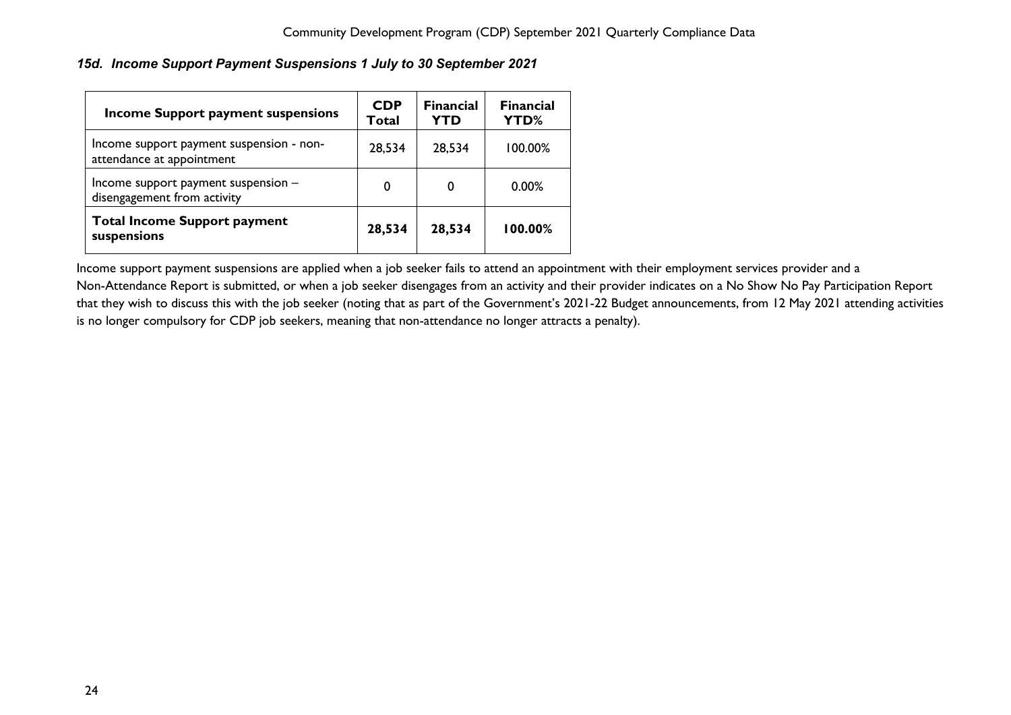## <span id="page-24-0"></span>*15d. Income Support Payment Suspensions 1 July to 30 September 2021*

| <b>Income Support payment suspensions</b>                             | <b>CDP</b><br>Total | <b>Financial</b><br>YTD | <b>Financial</b><br>YTD% |
|-----------------------------------------------------------------------|---------------------|-------------------------|--------------------------|
| Income support payment suspension - non-<br>attendance at appointment | 28,534              | 28,534                  | 100.00%                  |
| Income support payment suspension -<br>disengagement from activity    | 0                   | 0                       | $0.00\%$                 |
| <b>Total Income Support payment</b><br>suspensions                    | 28,534              | 28,534                  | 100.00%                  |

Income support payment suspensions are applied when a job seeker fails to attend an appointment with their employment services provider and a Non-Attendance Report is submitted, or when a job seeker disengages from an activity and their provider indicates on a No Show No Pay Participation Report that they wish to discuss this with the job seeker (noting that a*s* part of the Government's 2021-22 Budget announcements, from 12 May 2021 attending activities is no longer compulsory for CDP job seekers, meaning that non-attendance no longer attracts a penalty).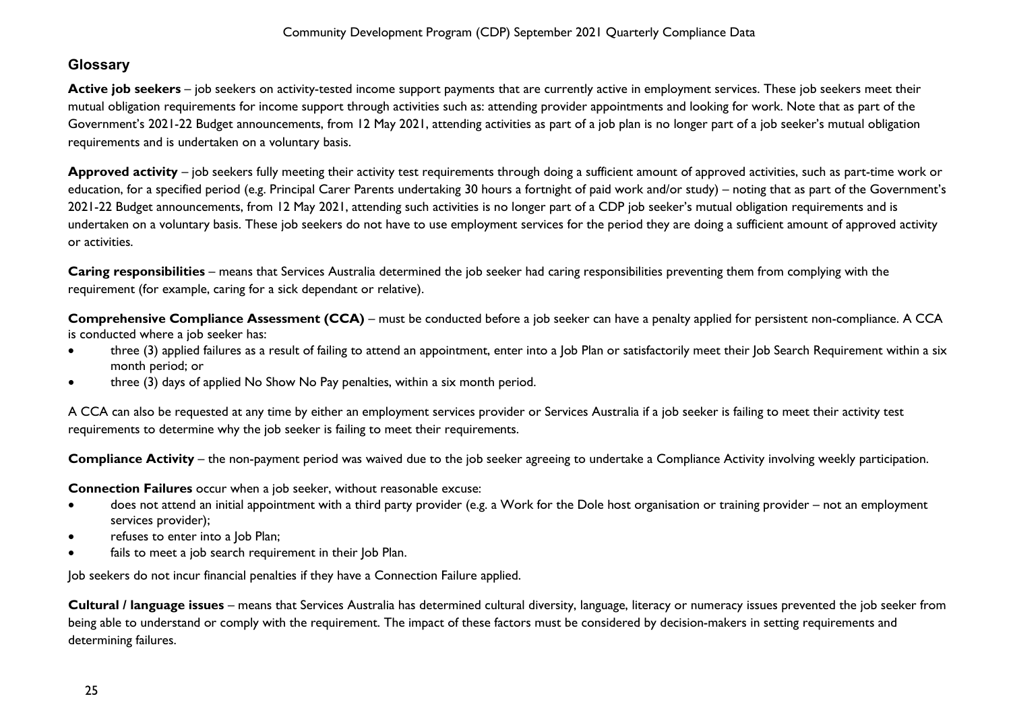# <span id="page-25-0"></span>**Glossary**

Active job seekers – job seekers on activity-tested income support payments that are currently active in employment services. These job seekers meet their mutual obligation requirements for income support through activities such as: attending provider appointments and looking for work. Note that as part of the Government's 2021-22 Budget announcements, from 12 May 2021, attending activities as part of a job plan is no longer part of a job seeker's mutual obligation requirements and is undertaken on a voluntary basis.

**Approved activity** – job seekers fully meeting their activity test requirements through doing a sufficient amount of approved activities, such as part-time work or education, for a specified period (e.g. Principal Carer Parents undertaking 30 hours a fortnight of paid work and/or study) – noting that as part of the Government's 2021-22 Budget announcements, from 12 May 2021, attending such activities is no longer part of a CDP job seeker's mutual obligation requirements and is undertaken on a voluntary basis. These job seekers do not have to use employment services for the period they are doing a sufficient amount of approved activity or activities.

**Caring responsibilities** – means that Services Australia determined the job seeker had caring responsibilities preventing them from complying with the requirement (for example, caring for a sick dependant or relative).

**Comprehensive Compliance Assessment (CCA)** – must be conducted before a job seeker can have a penalty applied for persistent non-compliance. A CCA is conducted where a job seeker has:

- three (3) applied failures as a result of failing to attend an appointment, enter into a Job Plan or satisfactorily meet their Job Search Requirement within a six month period; or
- three (3) days of applied No Show No Pay penalties, within a six month period.

A CCA can also be requested at any time by either an employment services provider or Services Australia if a job seeker is failing to meet their activity test requirements to determine why the job seeker is failing to meet their requirements.

**Compliance Activity** – the non-payment period was waived due to the job seeker agreeing to undertake a Compliance Activity involving weekly participation.

**Connection Failures** occur when a job seeker, without reasonable excuse:

- does not attend an initial appointment with a third party provider (e.g. a Work for the Dole host organisation or training provider not an employment services provider);
- refuses to enter into a Job Plan;
- fails to meet a job search requirement in their Job Plan.

Job seekers do not incur financial penalties if they have a Connection Failure applied.

**Cultural / language issues** – means that Services Australia has determined cultural diversity, language, literacy or numeracy issues prevented the job seeker from being able to understand or comply with the requirement. The impact of these factors must be considered by decision-makers in setting requirements and determining failures.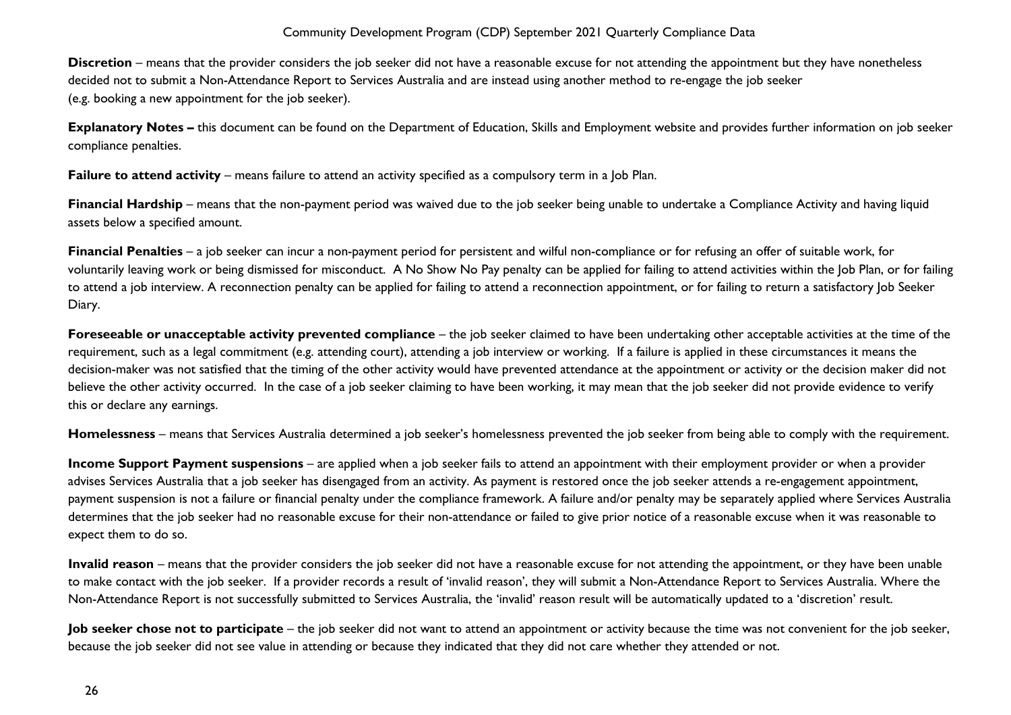**Discretion** – means that the provider considers the job seeker did not have a reasonable excuse for not attending the appointment but they have nonetheless decided not to submit a Non-Attendance Report to Services Australia and are instead using another method to re-engage the job seeker (e.g. booking a new appointment for the job seeker).

**Explanatory Notes –** this document can be found on the Department of Education, Skills and Employment website and provides further information on job seeker compliance penalties.

**Failure to attend activity** – means failure to attend an activity specified as a compulsory term in a Job Plan.

**Financial Hardship** – means that the non-payment period was waived due to the job seeker being unable to undertake a Compliance Activity and having liquid assets below a specified amount.

**Financial Penalties** – a job seeker can incur a non-payment period for persistent and wilful non-compliance or for refusing an offer of suitable work, for voluntarily leaving work or being dismissed for misconduct. A No Show No Pay penalty can be applied for failing to attend activities within the Job Plan, or for failing to attend a job interview. A reconnection penalty can be applied for failing to attend a reconnection appointment, or for failing to return a satisfactory Job Seeker Diary.

**Foreseeable or unacceptable activity prevented compliance** – the job seeker claimed to have been undertaking other acceptable activities at the time of the requirement, such as a legal commitment (e.g. attending court), attending a job interview or working. If a failure is applied in these circumstances it means the decision-maker was not satisfied that the timing of the other activity would have prevented attendance at the appointment or activity or the decision maker did not believe the other activity occurred. In the case of a job seeker claiming to have been working, it may mean that the job seeker did not provide evidence to verify this or declare any earnings.

**Homelessness** – means that Services Australia determined a job seeker's homelessness prevented the job seeker from being able to comply with the requirement.

**Income Support Payment suspensions** – are applied when a job seeker fails to attend an appointment with their employment provider or when a provider advises Services Australia that a job seeker has disengaged from an activity. As payment is restored once the job seeker attends a re-engagement appointment, payment suspension is not a failure or financial penalty under the compliance framework. A failure and/or penalty may be separately applied where Services Australia determines that the job seeker had no reasonable excuse for their non-attendance or failed to give prior notice of a reasonable excuse when it was reasonable to expect them to do so.

**Invalid reason** – means that the provider considers the job seeker did not have a reasonable excuse for not attending the appointment, or they have been unable to make contact with the job seeker. If a provider records a result of 'invalid reason', they will submit a Non-Attendance Report to Services Australia. Where the Non-Attendance Report is not successfully submitted to Services Australia, the 'invalid' reason result will be automatically updated to a 'discretion' result.

**Job seeker chose not to participate** – the job seeker did not want to attend an appointment or activity because the time was not convenient for the job seeker, because the job seeker did not see value in attending or because they indicated that they did not care whether they attended or not.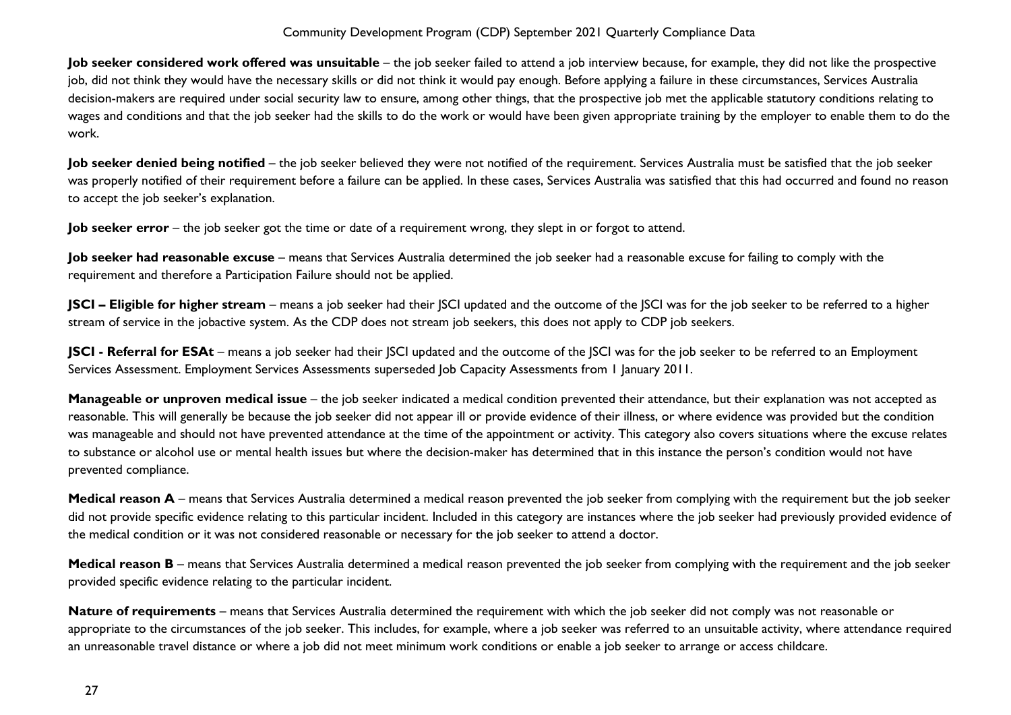**Job seeker considered work offered was unsuitable** – the job seeker failed to attend a job interview because, for example, they did not like the prospective job, did not think they would have the necessary skills or did not think it would pay enough. Before applying a failure in these circumstances, Services Australia decision-makers are required under social security law to ensure, among other things, that the prospective job met the applicable statutory conditions relating to wages and conditions and that the job seeker had the skills to do the work or would have been given appropriate training by the employer to enable them to do the work.

**Job seeker denied being notified** – the job seeker believed they were not notified of the requirement. Services Australia must be satisfied that the job seeker was properly notified of their requirement before a failure can be applied. In these cases, Services Australia was satisfied that this had occurred and found no reason to accept the job seeker's explanation.

**Job seeker error** – the job seeker got the time or date of a requirement wrong, they slept in or forgot to attend.

**Job seeker had reasonable excuse** – means that Services Australia determined the job seeker had a reasonable excuse for failing to comply with the requirement and therefore a Participation Failure should not be applied.

**JSCI – Eligible for higher stream** – means a job seeker had their JSCI updated and the outcome of the JSCI was for the job seeker to be referred to a higher stream of service in the jobactive system. As the CDP does not stream job seekers, this does not apply to CDP job seekers.

**JSCI - Referral for ESAt** – means a job seeker had their JSCI updated and the outcome of the JSCI was for the job seeker to be referred to an Employment Services Assessment. Employment Services Assessments superseded Job Capacity Assessments from 1 January 2011.

**Manageable or unproven medical issue** – the job seeker indicated a medical condition prevented their attendance, but their explanation was not accepted as reasonable. This will generally be because the job seeker did not appear ill or provide evidence of their illness, or where evidence was provided but the condition was manageable and should not have prevented attendance at the time of the appointment or activity. This category also covers situations where the excuse relates to substance or alcohol use or mental health issues but where the decision-maker has determined that in this instance the person's condition would not have prevented compliance.

Medical reason A – means that Services Australia determined a medical reason prevented the job seeker from complying with the requirement but the job seeker did not provide specific evidence relating to this particular incident. Included in this category are instances where the job seeker had previously provided evidence of the medical condition or it was not considered reasonable or necessary for the job seeker to attend a doctor.

**Medical reason B** – means that Services Australia determined a medical reason prevented the job seeker from complying with the requirement and the job seeker provided specific evidence relating to the particular incident.

**Nature of requirements** – means that Services Australia determined the requirement with which the job seeker did not comply was not reasonable or appropriate to the circumstances of the job seeker. This includes, for example, where a job seeker was referred to an unsuitable activity, where attendance required an unreasonable travel distance or where a job did not meet minimum work conditions or enable a job seeker to arrange or access childcare.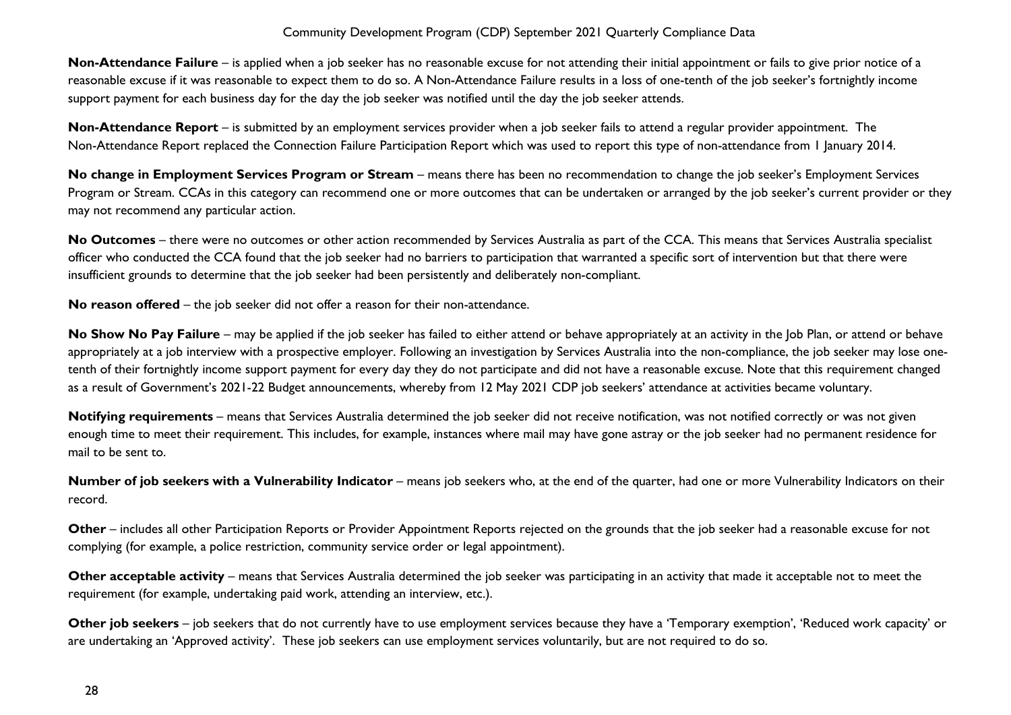**Non-Attendance Failure** – is applied when a job seeker has no reasonable excuse for not attending their initial appointment or fails to give prior notice of a reasonable excuse if it was reasonable to expect them to do so. A Non-Attendance Failure results in a loss of one-tenth of the job seeker's fortnightly income support payment for each business day for the day the job seeker was notified until the day the job seeker attends.

**Non-Attendance Report** – is submitted by an employment services provider when a job seeker fails to attend a regular provider appointment. The Non-Attendance Report replaced the Connection Failure Participation Report which was used to report this type of non-attendance from 1 January 2014.

**No change in Employment Services Program or Stream** – means there has been no recommendation to change the job seeker's Employment Services Program or Stream. CCAs in this category can recommend one or more outcomes that can be undertaken or arranged by the job seeker's current provider or they may not recommend any particular action.

**No Outcomes** – there were no outcomes or other action recommended by Services Australia as part of the CCA. This means that Services Australia specialist officer who conducted the CCA found that the job seeker had no barriers to participation that warranted a specific sort of intervention but that there were insufficient grounds to determine that the job seeker had been persistently and deliberately non-compliant.

**No reason offered** – the job seeker did not offer a reason for their non-attendance.

No Show No Pay Failure – may be applied if the job seeker has failed to either attend or behave appropriately at an activity in the Job Plan, or attend or behave appropriately at a job interview with a prospective employer. Following an investigation by Services Australia into the non-compliance, the job seeker may lose onetenth of their fortnightly income support payment for every day they do not participate and did not have a reasonable excuse. Note that this requirement changed as a result of Government's 2021-22 Budget announcements, whereby from 12 May 2021 CDP job seekers' attendance at activities became voluntary.

**Notifying requirements** – means that Services Australia determined the job seeker did not receive notification, was not notified correctly or was not given enough time to meet their requirement. This includes, for example, instances where mail may have gone astray or the job seeker had no permanent residence for mail to be sent to.

**Number of job seekers with a Vulnerability Indicator** – means job seekers who, at the end of the quarter, had one or more Vulnerability Indicators on their record.

**Other** – includes all other Participation Reports or Provider Appointment Reports rejected on the grounds that the job seeker had a reasonable excuse for not complying (for example, a police restriction, community service order or legal appointment).

**Other acceptable activity** – means that Services Australia determined the job seeker was participating in an activity that made it acceptable not to meet the requirement (for example, undertaking paid work, attending an interview, etc.).

**Other job seekers** – job seekers that do not currently have to use employment services because they have a 'Temporary exemption', 'Reduced work capacity' or are undertaking an 'Approved activity'. These job seekers can use employment services voluntarily, but are not required to do so.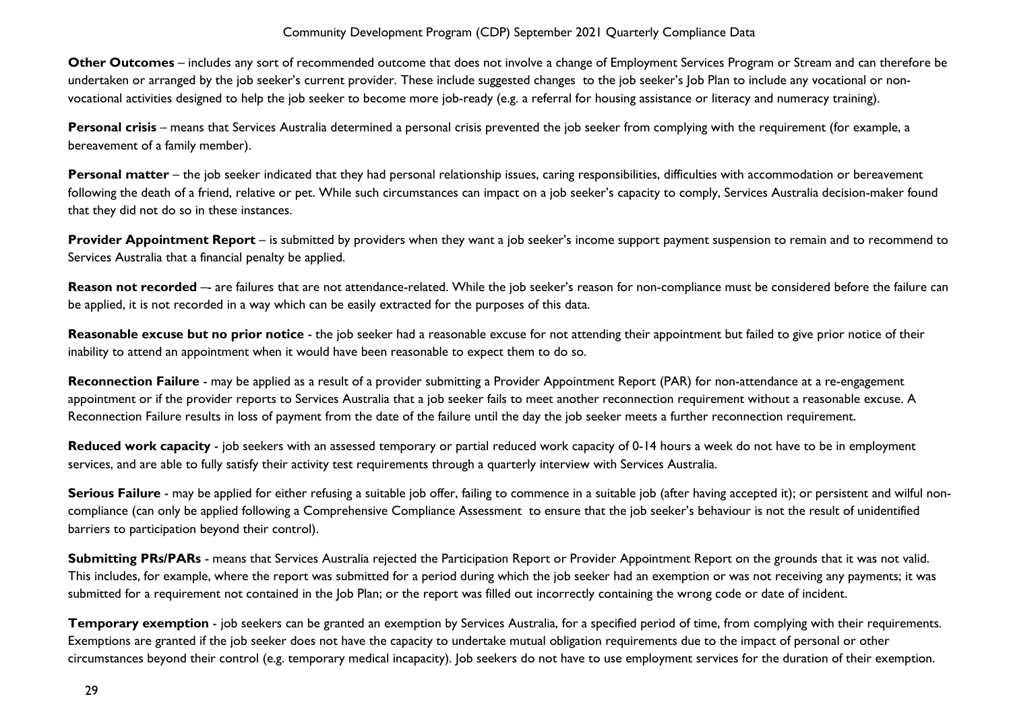**Other Outcomes** – includes any sort of recommended outcome that does not involve a change of Employment Services Program or Stream and can therefore be undertaken or arranged by the job seeker's current provider. These include suggested changes to the job seeker's Job Plan to include any vocational or nonvocational activities designed to help the job seeker to become more job-ready (e.g. a referral for housing assistance or literacy and numeracy training).

**Personal crisis** – means that Services Australia determined a personal crisis prevented the job seeker from complying with the requirement (for example, a bereavement of a family member).

Personal matter – the job seeker indicated that they had personal relationship issues, caring responsibilities, difficulties with accommodation or bereavement following the death of a friend, relative or pet. While such circumstances can impact on a job seeker's capacity to comply, Services Australia decision-maker found that they did not do so in these instances.

**Provider Appointment Report** – is submitted by providers when they want a job seeker's income support payment suspension to remain and to recommend to Services Australia that a financial penalty be applied.

Reason not recorded -- are failures that are not attendance-related. While the job seeker's reason for non-compliance must be considered before the failure can be applied, it is not recorded in a way which can be easily extracted for the purposes of this data.

Reasonable excuse but no prior notice - the job seeker had a reasonable excuse for not attending their appointment but failed to give prior notice of their inability to attend an appointment when it would have been reasonable to expect them to do so.

**Reconnection Failure** - may be applied as a result of a provider submitting a Provider Appointment Report (PAR) for non-attendance at a re-engagement appointment or if the provider reports to Services Australia that a job seeker fails to meet another reconnection requirement without a reasonable excuse. A Reconnection Failure results in loss of payment from the date of the failure until the day the job seeker meets a further reconnection requirement.

**Reduced work capacity** - job seekers with an assessed temporary or partial reduced work capacity of 0-14 hours a week do not have to be in employment services, and are able to fully satisfy their activity test requirements through a quarterly interview with Services Australia.

**Serious Failure** - may be applied for either refusing a suitable job offer, failing to commence in a suitable job (after having accepted it); or persistent and wilful noncompliance (can only be applied following a Comprehensive Compliance Assessment to ensure that the job seeker's behaviour is not the result of unidentified barriers to participation beyond their control).

**Submitting PRs/PARs** - means that Services Australia rejected the Participation Report or Provider Appointment Report on the grounds that it was not valid. This includes, for example, where the report was submitted for a period during which the job seeker had an exemption or was not receiving any payments; it was submitted for a requirement not contained in the Job Plan; or the report was filled out incorrectly containing the wrong code or date of incident.

**Temporary exemption** - job seekers can be granted an exemption by Services Australia, for a specified period of time, from complying with their requirements. Exemptions are granted if the job seeker does not have the capacity to undertake mutual obligation requirements due to the impact of personal or other circumstances beyond their control (e.g. temporary medical incapacity). Job seekers do not have to use employment services for the duration of their exemption.